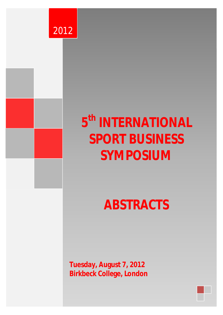

0 5 5 5 5 5 5 5 5 5 5 5 5 5 5 5



# **5 th INTERNATIONAL SPORT BUSINESS SYMPOSIUM**

**ABSTRACTS** 

**Tuesday, August 7, 2012 Birkbeck College, London**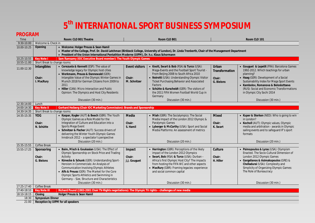# **5 th INTERNATIONAL SPORT BUSINESS SYMPOSIUM**

**PROGRAM**

| PRUURAIVI   |                                                  |                                                                                                                                                     |                       |                                                                                           |                |                                                                                       |
|-------------|--------------------------------------------------|-----------------------------------------------------------------------------------------------------------------------------------------------------|-----------------------|-------------------------------------------------------------------------------------------|----------------|---------------------------------------------------------------------------------------|
| Time        | Room: CLO B01 Theatre                            |                                                                                                                                                     | Room CLO B01          |                                                                                           | Room CLO 101   |                                                                                       |
| 9:30-10.00  | Welcome & Check in                               |                                                                                                                                                     |                       |                                                                                           |                |                                                                                       |
| 10.00-10.25 | • Welcome: Holger Preuss & Sean Hamil<br>Opening |                                                                                                                                                     |                       |                                                                                           |                |                                                                                       |
|             |                                                  | • Master of the College, Prof. Dr. David Latchman (Birkbeck College, University of London), Dr. Linda Trenberth, Chair of the Management Department |                       |                                                                                           |                |                                                                                       |
|             |                                                  | • President of the Union International Pentathlon Moderne (UIPM), Dr. h.c. Klaus Schormann                                                          |                       |                                                                                           |                |                                                                                       |
| 10.25-10.55 | <b>Key Note I</b>                                | Sam Ramsamy (IOC Executive Board member): The Youth Olympic Games                                                                                   |                       |                                                                                           |                |                                                                                       |
| 10.55-11.00 | Short Break to change rooms                      |                                                                                                                                                     |                       |                                                                                           |                |                                                                                       |
| 11.00-12.30 | Intangibles                                      | • Cerezuela & Kennett (ESP): The value of<br>knowledge legacy for Olympic host cities                                                               | <b>Event visitors</b> | • Knott, Swart & Bob (RSA) & Turco (USA):<br>Mega-Events and the Football Sport Tourist - | Urban          | • Gouguet & Lepetit (FRA): Barcelona Games<br>1992-2012. Which teachings for urban    |
|             |                                                  | • Werkmann, Preuss & Dannewald (GER):                                                                                                               |                       | From Beijing 2008 to South Africa 2010                                                    | Transformation | planning?                                                                             |
|             | Chair:                                           | Intangible Value of the Olympic Winter Games in                                                                                                     | Chair:                | • Neirotti (USA): Understanding Olympic Visitor                                           | Chair:         | • Haag (GER): Development of a Social                                                 |
|             | I. MacRury                                       | Munich 2018 for German Citizens from 2009 to                                                                                                        | M. Schnitzer          | Ticket Purchasing Behavior and Associated                                                 | G. Bielons     | Sustainability Index for Mega Sport Events                                            |
|             |                                                  | 2011                                                                                                                                                |                       | Factors                                                                                   |                | • Kambolov, Romanova & Belosluttseva                                                  |
|             |                                                  | • Hiller (CAN): Micro Interaction and Public                                                                                                        |                       | • Schütte & Kurscheidt (GER): The visitors of                                             |                | (RUS): Social and Economic Transformations                                            |
|             |                                                  | Opinion: The Olympics and Host City Residents                                                                                                       |                       | the 2011 FIFA Women Football World Cup in                                                 |                | in Olympic City Sochi 2014                                                            |
|             |                                                  |                                                                                                                                                     |                       | Germany                                                                                   |                |                                                                                       |
|             |                                                  | Discussion (30 min.)                                                                                                                                |                       | Discussion (30 min.)                                                                      |                | Discussion (30 min.)                                                                  |
| 12:30-14:00 | Lunch                                            |                                                                                                                                                     |                       |                                                                                           |                |                                                                                       |
| 14:00-14:30 | <b>Key Note II</b>                               | Gerhard Heiberg (Chair IOC Marketing Commission): Brands and Sponsorship                                                                            |                       |                                                                                           |                |                                                                                       |
| 14.30-14.35 | Short Break to change rooms                      |                                                                                                                                                     |                       |                                                                                           |                |                                                                                       |
| 14:35-15:35 | <b>YOG</b>                                       | • Kaspar, Kogler (AUT) & Beech (GBR): The Youth                                                                                                     | Media                 | • Miah (GBR): The Socialympics: The Social                                                | <b>Mixed</b>   | • Kuper & Sterken (NED): Who is going to win                                          |
|             |                                                  | Olympic Games as a Role Model for the                                                                                                               |                       | Media Impact of the London 2012 Olympic &                                                 |                | in London?                                                                            |
|             | Chair:                                           | Integration of Culture and Education into a<br>Sports Mega Event                                                                                    | Chair:                | Paralympic Games<br>• Lyberger & McCarthy (USA): Sport and Social                         | Chair:         | • Kocholl (AUT): Olympic values, Olympic<br>media and arbitration - awards in Olympic |
|             | N. Schütte                                       | • Schnitzer & Fischer (AUT): Success drivers of                                                                                                     | S. Hamil              | Media Platforms: An assessment of metrics                                                 | K. Swart       | sailing events and to safeguard IF's sport                                            |
|             |                                                  | delivering the Winter Youth Olympic Games                                                                                                           |                       |                                                                                           |                | formats                                                                               |
|             |                                                  | Innsbruck 2012 - a spectator's perspective                                                                                                          |                       |                                                                                           |                |                                                                                       |
|             |                                                  | Discussion (20 min.)                                                                                                                                |                       | Discussion (20 min.)                                                                      |                | Discussion (20 min.)                                                                  |
| 15:35-15:55 | Coffee Break                                     |                                                                                                                                                     |                       |                                                                                           |                |                                                                                       |
| 15:55-17:25 | Sponsoring                                       | Baim, Misch & Goukasian (USA): The Effect of                                                                                                        | Impact                | • Herrington (GBR): Perceptions of the likely                                             | Culture        | Psimopoulos & Lyras (USA): Olympism                                                   |
|             |                                                  | Olympic Sponsorship on Stock Price and Trading                                                                                                      |                       | impact of the London 2012 Olympics                                                        |                | Enacted. The Socio-Cultural Dimension of                                              |
|             | Chair:                                           | Activity                                                                                                                                            | Chair:                | • Swart, Bob (RSA) & Turco (USA): Durban -                                                | Chair:         | London 2012 Olympic Games                                                             |
|             | G. Bielons                                       | Könecke & Schunk (GER): Understanding Sport-                                                                                                        | J.J. Gouguet          | Africa's first Olympic Host City? The impacts                                             | H. Hiller      | · Gargalianos & Asimakopoulos (GRE) &                                                 |
|             |                                                  | Heroism in Commercials: An Analysis of                                                                                                              |                       | from hosting the FIFA WC and other aspects                                                |                | Chelladurai (USA): Complexity and                                                     |
|             |                                                  | <b>Communication Involving Olympic Athletes</b>                                                                                                     |                       | • MacRury (GBR): Framing legacies: experience                                             |                | Simplicity of Organizing Olympic Games:                                               |
|             |                                                  | • Alfs & Preuss (GER): The Market for the Core                                                                                                      |                       | and social common capital                                                                 |                | The Role of Bureaucracy                                                               |
|             |                                                  | Olympic Sports Athletics and Swimming in                                                                                                            |                       |                                                                                           |                |                                                                                       |
|             |                                                  | Germany - Size, Structure and Characteristics                                                                                                       |                       |                                                                                           |                |                                                                                       |
| 17:25-17:40 | Coffee Break                                     | Discussion (30 min.)                                                                                                                                |                       | Discussion (30 min.)                                                                      |                | Discussion (30 min.)                                                                  |
| 17:40-18:10 | <b>Key Note III</b>                              | Richard Pound (1983-2001 Chair TV-Rights negotiations): The Olympic TV rights - challenges of new media                                             |                       |                                                                                           |                |                                                                                       |
| 18:10-18:15 | Closing                                          | Holger Preuss & Sean Hamil                                                                                                                          |                       |                                                                                           |                |                                                                                       |
| 18:30       | Symposium Dinner                                 |                                                                                                                                                     |                       |                                                                                           |                |                                                                                       |
| 21:00       |                                                  | Reception by UIPM for all speakers                                                                                                                  |                       |                                                                                           |                |                                                                                       |
|             |                                                  |                                                                                                                                                     |                       |                                                                                           |                |                                                                                       |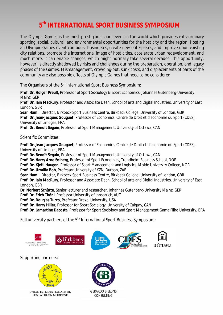# **5 th INTERNATIONAL SPORT BUSINESS SYMPOSIUM**

The Olympic Games is the most prestigious sport event in the world which provides extraordinary sporting, social, cultural, and environmental opportunities for the host city and the region. Hosting an Olympic Games event can boost businesses, create new enterprises, and improve upon existing city relations, promote the international image of host cities, accelerate urban redevelopment, and much more. It can enable changes, which might normally take several decades. This opportunity, however, is directly shadowed by risks and challenges during the preparation, operation, and legacy phases of the Games. Mismanagement, crowding-out, sunk costs, and displacements of parts of the community are also possible effects of Olympic Games that need to be considered.

The Organisers of the 5<sup>th</sup> International Sport Business Symposium:

**Prof. Dr. Holger Preuß,** Professor of Sport Sociology & Sport Economics, Johannes Gutenberg-University Mainz, GER

**Prof. Dr. Iain MacRury**, Professor and Associate Dean, School of arts and Digital Industries, University of East London, GBR

**Sean Hamil**, Director, Birkbeck Sport Business Centre, Birkbeck College, University of London, GBR **Prof. Dr. Jean-Jacques Gouguet**, Professor of Economics, Centre de Droit et d'economie du Sport (CDES), University of Limoges, FRA

**Prof. Dr. Benoît Séguin**, Professor of Sport Management, University of Ottawa, CAN

Scientific Committee:

**Prof. Dr. Jean-Jacques Gouguet**, Professor of Economics, Centre de Droit et d'economie du Sport (CDES), University of Limoges, FRA

**Prof. Dr. Benoît Séguin**, Professor of Sport Management, University of Ottawa, CAN

**Prof. Dr. Harry Arne Solberg**, Professor of Sport Economics, Trondheim Business School, NOR

**Prof. Dr. Kjetil Haugen**, Professor of Sport Management and Logistics, Molde University College, NOR **Prof. Dr. Urmilla Bob**, Professor University of KZN, Durban, ZAF

**Sean Hamil**, Director, Birkbeck Sport Business Centre, Birkbeck College, University of London, GBR **Prof. Dr. Iain MacRury**, Professor and Associate Dean, School of arts and Digital Industries, University of East London, GBR

**Dr. Norbert Schütte**, Senior lecturer and researcher, Johannes Gutenberg-University Mainz, GER

P**rof. Dr. Erich Thöni**, Professor University of Innsbruck, AUT

**Prof. Dr. Douglas Turco**, Professor Drexel University, USA

**Prof. Dr. Harry Hiller**, Professor for Sport Sociology, University of Calgary, CAN

**Prof. Dr. Lamartine Dacosta**, Professor for Sport Sociology and Sport Management Gama Filho University, BRA

Full university partners of the 5<sup>th</sup> International Sport Business Symposium:



## Supporting partners:



UNION INTERNATIONALE DE PENTATHLON MODERNE



GERARDO BIELONS CONSULTING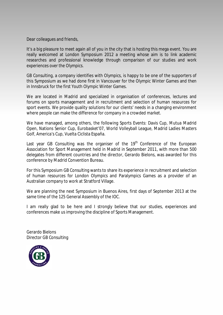Dear colleagues and friends,

It's a big pleasure to meet again all of you in the city that is hosting this mega event. You are really welcomed at London Symposium 2012 a meeting whose aim is to link academic researches and professional knowledge through comparison of our studies and work experiences over the Olympics.

GB Consulting, a company identifies with Olympics, is happy to be one of the supporters of this Symposium as we had done first in Vancouver for the Olympic Winter Games and then in Innsbruck for the first Youth Olympic Winter Games.

We are located in Madrid and specialized in organisation of conferences, lectures and forums on sports management and in recruitment and selection of human resources for sport events. We provide quality solutions for our clients' needs in a changing environment where people can make the difference for company in a crowded market.

We have managed, among others, the following Sports Events: Davis Cup, Mutua Madrid Open, Nations Senior Cup, Eurobasket'07, World Volleyball League, Madrid Ladies Masters Golf, America's Cup, Vuelta Ciclista España.

Last year GB Consulting was the organiser of the 19<sup>th</sup> Conference of the European Association for Sport Management held in Madrid in September 2011, with more than 500 delegates from different countries and the director, Gerardo Bielons, was awarded for this conference by Madrid Convention Bureau.

For this Symposium GB Consulting wants to share its experience in recruitment and selection of human resources for London Olympics and Paralympics Games as a provider of an Australian company to work at Stratford Village.

We are planning the next Symposium in Buenos Aires, first days of September 2013 at the same time of the 125 General Assembly of the IOC.

I am really glad to be here and I strongly believe that our studies, experiences and conferences make us improving the discipline of Sports Management.

Gerardo Bielons Director GB Consulting

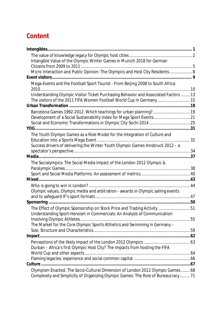# **Content**

| Intangible Value of the Olympic Winter Games in Munich 2018 for German                                                                                |  |
|-------------------------------------------------------------------------------------------------------------------------------------------------------|--|
| Micro Interaction and Public Opinion: The Olympics and Host City Residents 8                                                                          |  |
|                                                                                                                                                       |  |
| Mega-Events and the Football Sport Tourist - From Beijing 2008 to South Africa                                                                        |  |
| Understanding Olympic Visitor Ticket Purchasing Behavior and Associated Factors  13                                                                   |  |
| The visitors of the 2011 FIFA Women Football World Cup in Germany 15                                                                                  |  |
|                                                                                                                                                       |  |
| Development of a Social Sustainability Index for Mega Sport Events 21                                                                                 |  |
|                                                                                                                                                       |  |
|                                                                                                                                                       |  |
| The Youth Olympic Games as a Role Model for the Integration of Culture and                                                                            |  |
| Success drivers of delivering the Winter Youth Olympic Games Innsbruck 2012 - a                                                                       |  |
|                                                                                                                                                       |  |
| The Socialympics: The Social Media Impact of the London 2012 Olympic &                                                                                |  |
|                                                                                                                                                       |  |
|                                                                                                                                                       |  |
|                                                                                                                                                       |  |
| Olympic values, Olympic media and arbitration - awards in Olympic sailing events                                                                      |  |
|                                                                                                                                                       |  |
|                                                                                                                                                       |  |
| The Effect of Olympic Sponsorship on Stock Price and Trading Activity  51<br>Understanding Sport-Heroism in Commercials: An Analysis of Communication |  |
| Involving Olympic Athletes                                                                                                                            |  |
| The Market for the Core Olympic Sports Athletics and Swimming in Germany -                                                                            |  |
|                                                                                                                                                       |  |
|                                                                                                                                                       |  |
| Durban - Africa's first Olympic Host City? The impacts from hosting the FIFA                                                                          |  |
|                                                                                                                                                       |  |
|                                                                                                                                                       |  |
| Olympism Enacted. The Socio-Cultural Dimension of London 2012 Olympic Games 68                                                                        |  |
| Complexity and Simplicity of Organizing Olympic Games: The Role of Bureaucracy 71                                                                     |  |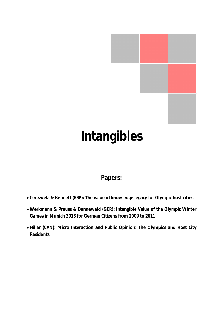

# **Intangibles**

# **Papers:**

- x **Cerezuela & Kennett (ESP): The value of knowledge legacy for Olympic host cities**
- x **Werkmann & Preuss & Dannewald (GER): Intangible Value of the Olympic Winter Games in Munich 2018 for German Citizens from 2009 to 2011**
- x **Hiller (CAN): Micro Interaction and Public Opinion: The Olympics and Host City Residents**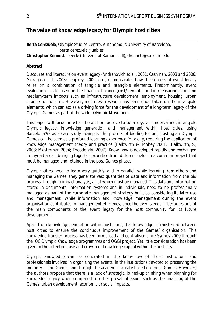# **The value of knowledge legacy for Olympic host cities**

## **Berta Cerezuela**, Olympic Studies Centre, Autonomous University of Barcelona, *berta.cerezuela@uab.es*  **Christopher Kennett**, LaSalle (Universitat Ramon Llull), *ckennett@salle.url.edu*

## **Abstract**

Discourse and literature on event legacy (Andranovich et al., 2001; Cashman, 2003 and 2006; Moragas et al., 2003; Leopkey, 2009, etc.) demonstrates how the success of event legacy relies on a combination of tangible and intangible elements. Predominantly, event evaluation has focused on the financial balance (cost/benefits) and in measuring short and medium-term impacts such as infrastructure development, employment, housing, urban change or tourism. However, much less research has been undertaken on the intangible elements, which can act as a driving force for the development of a long-term legacy of the Olympic Games as part of the wider Olympic Movement.

This paper will focus on what the authors believe to be a key, yet undervalued, intangible Olympic legacy: knowledge generation and management *within* host cities, using Barcelona'92 as a case study example. The process of bidding for and hosting an Olympic Games can be seen as a profound learning experience for a city, requiring the application of knowledge management theory and practice (Halbwirth & Toohey 2001, Halbwirth, S., 2008; Masterman 2004; Theodoraki, 2007). Know-how is developed rapidly and exchanged in myriad areas, bringing together expertise from different fields in a common project that must be managed and retained in the post Games phase.

Olympic cities need to learn very quickly, and in parallel, while learning from others and managing the Games, they generate vast quantities of data and information from the bid process through to impact analysis, all of which must be managed. This data and information stored in documents, information systems and in individuals, need to be professionally managed as part of the corporate management strategy but also considering its later use and management. While information and knowledge management during the event organisation contributes to management efficiency, once the events ends, it becomes one of the main components of the event legacy for the host community for its future development.

Apart from knowledge generation within host cities, that knowledge is transferred *between* host cities to ensure the continuous improvement of the Games' organisation. This knowledge transfer process has been formalised and centralised since Sydney 2000 through the IOC Olympic Knowledge programmes and OGGI project. Yet little consideration has been given to the retention, use and growth of knowledge capital within the host city.

Olympic knowledge can be generated in the know-how of those institutions and professionals involved in organising the events, in the institutions devoted to preserving the memory of the Games and through the academic activity based on those Games. However, the authors propose that there is a lack of strategic, joined-up thinking when planning for knowledge legacy when compared to other prevalent issues such as the financing of the Games, urban development, economic or social impacts.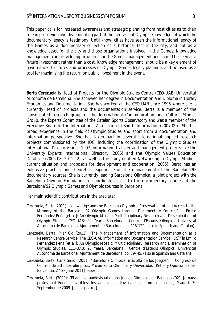This paper calls for increased awareness and strategic planning from host cities as to their role in preserving and disseminating part of the heritage of Olympic knowledge, of which the documentary legacy is testimony. Until know, cities have seen the informational legacy of the Games as a documentary collection of a historical fact in the city, and not as a knowledge asset for the city and those organisations involved in the Games. Knowledge management can provide opportunities for the Games management and should be seen as a future investment rather than a cost. Knowledge management should be a key element of governance structures and processes of Olympic Games legacy planning, and be used as a tool for maximising the return on public investment in the event.

**Berta Cerezuela** is Head of Projects for the Olympic Studies Centre (CEO-UAB) Universitat Autònoma de Barcelona. She achieved her degree in Documentation and Diploma in Library Economics and Documentation. She has worked at the CEO-UAB since 1996 where she is currently Head of projects and the documentation service. Berta is a member of the consolidated research group of the International Communication and Cultural Studies Group, the Experts Committee of the Catalan Sports Observatory and was a member of the Executive Board of the International Association of Sports Information (2007-09). She has broad experience in the field of Olympic Studies and sport from a documentation and information perspective. She has taken part in several international applied research projects commissioned by the IOC, including the coordination of the Olympic Studies International Directory since 1997, information transfer and management projects like the University Experts International Directory (2006) and the Olympic Values Education Database (2006-08, 2011-12), as well as the study entitled Networking in Olympic Studies: current situation and proposals for development and cooperation (2005). Berta has an extensive practical and theoretical experience on the management of the Barcelona'92 documentary sources. She is currently leading Barcelona Olimpica, a joint project with the Barcelona Olympic Foundation to coordinate access to the documentary sources of the Barcelona'92 Olympic Games and Olympic sources in Barcelona.

Her main scientific contributions in the area are:

- Cerezuela, Berta (2011): "Knowledge and the Barcelona Olympics: Preservation of and Access to the Memory of the Barcelona'92 Olympic Games through Documentary Sources" in Emilio Fernández Peña [et al.]: *An Olympic Mosaic: Multidisciplinary Research and Dissemination of Olympic Studies. CEO-UAB: 20 Years*. Barcelona : Centre d'Estudis Olímpics, Universitat Autònoma de Barcelona; Ajuntament de Barcelona, pp. 115-122. (also in Spanish and Catalan)
- Cerezuela, Berta; Pilar Cid (2011): "The Management of Information and Documentation at a Research Centre Service: The CEO-UAB Information and Documentation Service (IDS)" in Emilio Fernández Peña [et al.]: *An Olympic Mosaic: Multidisciplinary Research and Dissemination of Olympic Studies. CEO-UAB: 20 Years*. Barcelona : Centre d'Estudis Olímpics, Universitat Autònoma de Barcelona; Ajuntament de Barcelona, pp. 39- 45. (also in Spanish and Catalan)
- Cerezuela, Berta; Carla Sariol (2011). "Barcelona Olímpica: más allá de los Juegos", III Congreso de Centros de Estudios olímpicos: Movimiento Olímpico y Universidad: Retos y Oportunidades, Barcelona, 27-28 June 2011 [paper]
- Cerezuela, Berta (2009): "El archivo audiovisual de los Juegos Olímpicos de Barcelona'92", *Jornada profesional Fondos Invisibles: los archivos audiovisuales que no conocemos*, Madrid, 30 September de 2009. [main speaker]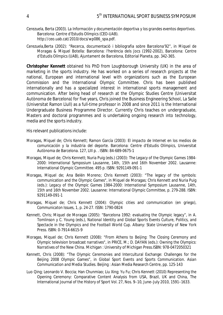- Cerezuela, Berta (2003). *La Información y documentación deportiva y los grandes eventos deportivos*. Barcelona: Centre d'Estudis Olímpics (CEO-UAB). http://ceo.uab.cat/2010/docs/wp086\_spa.pdf.
- Cerezuela,Berta (2002): "Recerca, documentació i bibliografia sobre Barcelona'92", in Miquel de Moragas & Miquel Botella: Barcelona: l'herència dels Jocs (1992-2002), Barcelona: Centre d'Estudis Olímpics (UAB), Ajuntament de Barcelona, Editorial Planeta, pp. 342-365.

**Christopher Kennett** obtained his PhD from Loughborough University (UK) in the area of marketing in the sports industry. He has worked on a series of research projects at the national, European and international level with organizations such as the European Commission and the International Olympic Committee. Chris has been published internationally and has a specialized interest in international sports management and communication. After being head of research at the Olympic Studies Centre (Universitat Autònoma de Barcelona) for five years, Chris joined the Business Engineering School, La Salle (Universitat Ramon Llull) as a full-time professor in 2008 and since 2011 is the International Undergraduate Business Programme Director. Currently Chris teaches on undergraduate, Masters and doctoral programmes and is undertaking ongoing research into technology, media and the sports industry.

His relevant publications include:

- Moragas, Miquel de; Chris Kennett; Ramon García (2003): *El impacto de Internet en los medios de comunicación y la industria del deporte*. Barcelona: Centre d'Estudis Olímpics, Universitat Autònoma de Barcelona. 127, LIII p. . ISBN: 84-689-0675-1
- Moragas, Miquel de; Chris Kennett; Nuria Puig (eds.) (2003): *The Legacy of the Olympic Games 1984- 2000: International Symposium Lausanne, 14th, 15th and 16th November 2002*. Lausanne: International Olympic Committee. 495 p. ISBN: 9291149-091-1
- Moragas, Miquel de; Ana Belén Moreno; Chris Kennett (2003): "The legacy of the symbols: communication and the Olympic Games", in Miquel de Moragas; Chris Kennett and Nuria Puig (eds.): *Legacy of the Olympic Games 1984-2000: International Symposium Lausanne, 14th, 15th and 16th November 2002.* Lausanne: International Olympic Committee, p. 279-288. ISBN: 9291149-091-1
- Moragas, Miquel de; Chris Kennett (2004): Olympic cities and communication (en griego), *Communicaton Issues*, 1, p. 24-27. ISSN: 1790-0824
- Kennett, Chris; Miquel de Moragas (2005): "Barcelona 1992: evaluating the Olympic legacy", in A. Tomlinson y C. Young (eds.), *National Identity and Global Sports Events Culture, Politics, and Spectacle in the Olympics and the Football World Cup*. Albany: State University of New York Press. ISBN: 0-7914-6615-9
- Moragas, Miquel de; Chris Kennett (2008): "From Athens to Beijing: The Closing Ceremony and Olympic television broadcast narratives", in PRICE, M.; D. DAYAN (eds.): *Owning the Olympics: Narratives of the New China*. Michigan : University of Michigan Press.ISBN: 978-0472050321
- Kennett, Chris (2008): "The Olympic Ceremonies and Intercultural Exchange: Challenges for the Beijing 2008 Olympic Games", in *Global Sport Events and Sports Communication. Asian Communication and Media Studies*. Beijing : Asian Media Research Centre, pp. 125-143
- Luo Qing; Leonardo V. Boccia; Han Chunmiao; Liu Xing; Yu Fu; Chris Kennett (2010) Representing the Opening Ceremony: Comparative Content Analysis from USA, Brazil, UK and China, The International Journal of the History of Sport Vol. 27, Nos. 9–10, June–July 2010, 1591–1633.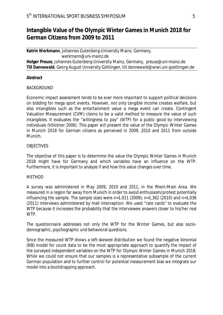# **Intangible Value of the Olympic Winter Games in Munich 2018 for German Citizens from 2009 to 2011**

**Katrin Werkmann**, Johannes Gutenberg-University Mainz, Germany, *werkmann@uni-mainz.de*  **Holger Preuss**, Johannes Gutenberg-University Mainz, Germany, *preuss@uni-mainz.de*  **Till Dannewald**, Georg August University Göttingen*, till.dannewald@wiwi.uni-goettingen.de*

## **Abstract**

## BACKGROUND

Economic impact assessment tends to be ever more important to support political decisions on bidding for mega sport events. However, not only tangible income creates welfare, but also intangibles such as the entertainment value a mega event can create. Contingent Valuation Measurement (CVM) claims to be a valid method to measure the value of such intangibles. It evaluates the "willingness to pay" (WTP) for a public good by interviewing individuals (Völckner 2006). This paper will present the value of the Olympic Winter Games in Munich 2018 for German citizens as perceived in 2009, 2010 and 2011 from outside Munich.

### **OBJECTIVES**

The objective of this paper is to determine the value the Olympic Winter Games in Munich 2018 might have for Germany and which variables have an influence on the WTP. Furthermore, it is important to analyze if and how this value changes over time.

### METHOD

A survey was administered in May 2009, 2010 and 2011, in the Rhein-Main Area. We measured in a region far away from Munich in order to avoid enthusiasm/protest potentially influencing the sample. The sample sizes were n=1,011 (2009); n=1,362 (2010) and n=1,036 (2011) interviews administered by mall interception. We used "rate cards" to evaluate the WTP because it increases the probability that the interviewee answers closer to his/her real WTP.

The questionnaire addresses not only the WTP for the Winter Games, but also sociodemographic, psychographic und behavioral questions.

Since the measured WTP shows a left-skewed distribution we found the negative binomial (NB) model for count data to be the most appropriate approach to quantify the impact of the surveyed independent variables on the WTP for Olympic Winter Games in Munich 2018. While we could not ensure that our samples is a representative subsample of the current German population and to further control for potential measurement bias we integrate our model into a bootstrapping approach.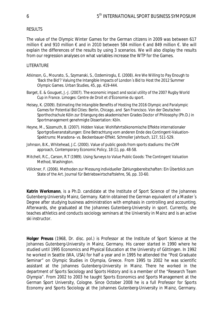#### RESULTS

The value of the Olympic Winter Games for the German citizens in 2009 was between 617 million € and 910 million € and in 2010 between 584 million € and 849 million €. We will explain the differences of the results by using 3 scenarios. We will also display the results from our regression analyses on what variables increase the WTP for the Games.

#### **LITERATURE**

- Atkinson, G., Mourato, S., Szymanski, S., Ozdemiroglu, E. (2008). Are We Willing to Pay Enough to 'Back the Bid'? Valuing the Intangible Impacts of London´s Bid to Host the 2012 Summer Olympic Games. *Urban Studies*, 45, pp. 419-444.
- Barget, E. & Gouguet, J.-J. (2007). *The economic impact and social utility of the 2007 Rugby World Cup in France*. Limoges: Centre de Droit et d'Économie du sport.
- Heisey, K. (2009). *Estimating the Intangible Benefits of Hosting the 2016 Olympic and Paralympic Games for Potential Bid Cities: Berlin, Chicago, and San Francisco*. Von der Deutschen Sporthochschule Köln zur Erlangung des akademischen Grades Doctor of Philosophy (Ph.D.) in Sportmanagement genehmigte Dissertation: Köln.
- Heyne, M., Süssmuth, B. (2007). Hidden Value: Wohlfahrtsökonomische Effekte internationaler Sportgroßveranstaltungen: Eine Betrachtung vom anderen Ende des Contingent-Valuation-Spektrums: Maradona- vs. Beckenbauer-Effekt. *Schmoller Jahrbuch*, 127, 511-529.
- Johnson, B.K., Whitehead, J.C. (2000). Value of public goods from sports stadiums: the CVM approach, *Contemporary Economic Policy*, 18 (1), pp. 48-58.
- Mitchell, R.C., Carson, R.T (1989). *Using Surveys to Value Public Goods: The Contingent Valuation Method*, Washington.
- Völckner, F. (2006). Methoden zur Messung individueller Zahlungsbereitschaften: Ein Überblick zum State of the Art. *Journal für Betriebswirtschaftslehre*, 56, pp. 33-60.

**Katrin Werkmann**, is a Ph.D. candidate at the Institute of Sport Science of the Johannes Gutenberg-University Mainz, Germany. Katrin obtained the German equivalent of a Master´s Degree after studying business administration with emphasis in controlling and accounting. Afterwards, she graduated at the Johannes Gutenberg-University in sport. Currently, she teaches athletics and conducts sociology seminars at the University in Mainz and is an active ski instructor.

**Holger Preuss** (1968, Dr. disc. pol.) is Professor at the Institute of Sport Science at the Johannes Gutenberg-University in Mainz, Germany. His career started in 1990 where he studied until 1995 Economics and Physical Education at the University of Göttingen. In 1992 he worked in Seattle (WA, USA) for half a year and in 1995 he attended the "Post Graduate Seminar" on Olympic Studies in Olympia, Greece. From 1995 to 2002 he was scientific assistant at the Johannes Gutenberg-University in Mainz. There he worked in the department of Sports Sociology and Sports History and is a member of the "Research Team Olympia". From 2002 to 2003 he taught Sports Economics and Sports Management at the German Sport University, Cologne. Since October 2008 he is a full Professor for Sports Economy and Sports Sociology at the Johannes Gutenberg-University in Mainz, Germany.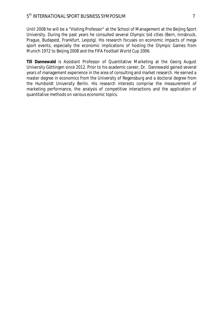Until 2008 he will be a "Visiting Professor" at the School of Management at the Beijing Sport University. During the past years he consulted several Olympic bid cities (Bern, Innsbruck, Prague, Budapest, Frankfurt, Leipzig). His research focuses on economic impacts of mega sport events, especially the economic implications of hosting the Olympic Games from Munich 1972 to Beijing 2008 and the FIFA Football World Cup 2006.

**Till Dannewald** is Assistant Professor of Quantitative Marketing at the Georg August University Göttingen since 2012. Prior to his academic career, Dr. Dannewald gained several years of management experience in the area of consulting and market research. He earned a master degree in economics from the University of Regensburg and a doctoral degree from the Humboldt University Berlin. His research interests comprise the measurement of marketing performance, the analysis of competitive interactions and the application of quantitative methods on various economic topics.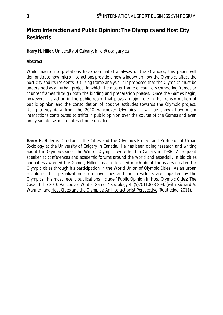# **Micro Interaction and Public Opinion: The Olympics and Host City Residents**

## **Harry H. Hiller**, University of Calgary, *hiller@ucalgary.ca*

## **Abstract**

While macro interpretations have dominated analyses of the Olympics, this paper will demonstrate how micro interactions provide a new window on how the Olympics affect the host city and its residents. Utilizing frame analysis, it is proposed that the Olympics must be understood as an urban project in which the master frame encounters competing frames or counter frames through both the bidding and preparation phases. Once the Games begin, however, it is action in the public realm that plays a major role in the transformation of public opinion and the consolidation of positive attitudes towards the Olympic project. Using survey data from the 2010 Vancouver Olympics, it will be shown how micro interactions contributed to shifts in public opinion over the course of the Games and even one year later as micro interactions subsided.

**Harry H. Hiller** is Director of the Cities and the Olympics Project and Professor of Urban Sociology at the University of Calgary in Canada. He has been doing research and writing about the Olympics since the Winter Olympics were held in Calgary in 1988. A frequent speaker at conferences and academic forums around the world and especially in bid cities and cities awarded the Games, Hiller has also learned much about the issues created for Olympic cities through his participation in the World Union of Olympic Cities. As an urban sociologist, his specialization is on how cities and their residents are impacted by the Olympics. His most recent publications include "Public Opinion in Host Olympic Cities: The Case of the 2010 Vancouver Winter Games" *Sociology* 45(5)2011:883-899. (with Richard A. Wanner) and *Host Cities and the Olympics: An Interactionist Perspective* (Routledge, 2011).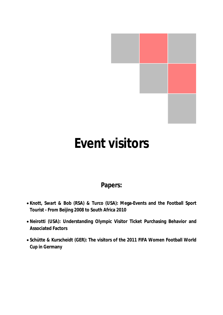

# **Event visitors**

# **Papers:**

- x **Knott, Swart & Bob (RSA) & Turco (USA): Mega-Events and the Football Sport Tourist - From Beijing 2008 to South Africa 2010**
- x **Neirotti (USA): Understanding Olympic Visitor Ticket Purchasing Behavior and Associated Factors**
- x **Schütte & Kurscheidt (GER): The visitors of the 2011 FIFA Women Football World Cup in Germany**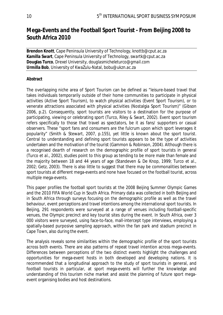# **Mega-Events and the Football Sport Tourist - From Beijing 2008 to South Africa 2010**

**Brendon Knott**, Cape Peninsula University of Technology, *knottb@cput.ac.za* **Kamilla Swart**, Cape Peninsula University of Technology, *swartk@cput.ac.za* **Douglas Turco**, Drexel University, *douglasmicheleturco@gmail.com*  **Urmilla Bob**, University of KwaZulu-Natal, *bobu@ukzn.ac.za* 

## **Abstract**

The overlapping niche area of Sport Tourism can be defined as "leisure-based travel that takes individuals temporarily outside of their home communities to participate in physical activities (Active Sport Tourism), to watch physical activities (Event Sport Tourism), or to venerate attractions associated with physical activities (Nostalgia Sport Tourism)" (Gibson 2006, p.2). Consequently, sport tourists are visitors to a destination for the purpose of participating, viewing or celebrating sport (Turco, Riley & Swart, 2002). Event sport tourism refers specifically to those that travel as spectators, be it as fans/ supporters or casual observers. These "sport fans and consumers are the fulcrum upon which sport leverages it popularity" (Smith & Stewart, 2007, p.155), yet little is known about the sport tourist. Central to understanding and defining sport tourists appears to be the type of activities undertaken and the motivation of the tourist (Gammon & Robinson, 2004). Although there is a recognised dearth of research on the demographic profile of sport tourists in general (Turco *et al*., 2002), studies point to this group as tending to be more male than female and the majority between 18 and 44 years of age (Standeven & De Knop, 1999; Turco *et al*., 2002; Getz, 2003). There is also little to suggest that there may be commonalities between sport tourists at different mega-events and none have focused on the football tourist, across multiple mega-events.

This paper profiles the football sport tourists at the 2008 Beijing Summer Olympic Games and the 2010 FIFA World Cup in South Africa. Primary data was collected in both Beijing and in South Africa through surveys focusing on the demographic profile as well as the travel behaviour, event perceptions and travel intentions among the international sport tourists. In Beijing, 291 respondents were surveyed at a range of venues including football-specific venues, the Olympic precinct and key tourist sites during the event. In South Africa, over 3 000 visitors were surveyed, using face-to-face, mall-intercept type interviews, employing a spatially-based purposive sampling approach, within the fan park and stadium precinct in Cape Town, also during the event.

The analysis reveals some similarities within the demographic profile of the sport tourists across both events. There are also patterns of repeat travel intention across mega-events. Differences between perceptions of the two distinct events highlight the challenges and opportunities for mega-event hosts in both developed and developing nations. It is recommended that a longitudinal approach to the study of sport tourists in general, and football tourists in particular, at sport mega-events will further the knowledge and understanding of this tourism niche market and assist the planning of future sport megaevent organising bodies and host destinations.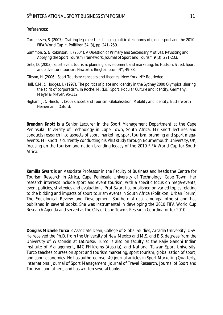#### References:

- Cornelissen, S. (2007). Crafting legacies: the changing political economy of global sport and the 2010 FIFA World Cup™. *Politikon* 34 (3), pp. 241–259.
- Gammon, S. & Robinson, T. (2004). A Question of Primary and Secondary Motives: Revisiting and Applying the Sport Tourism Framework. *Journal of Sport and Tourism* **9** (3): 221-233.
- Getz, D. (2003). Sport event tourism: planning, development and marketing. *In*: Hudson, S., ed. *Sport and adventure tourism*. Haworth: Binghampton, NY, 49-88.
- Gibson, H. (2006). *Sport Tourism: concepts and theories*. New York, NY: Routledge.
- Hall, C.M. & Hodges, J. (1997). The politics of place and identity in the Sydney 2000 Olympics: sharing the spirit of corporatism. In Roche, M. (Ed.) *Sport, Popular Culture and Identity*. Germany: Meyer & Meyer, 95-112.
- Higham, J. & Hinch, T. (2009). *Sport and Tourism: Globalisation, Mobility and Identity.* Butterworth Heinemann, Oxford.

**Brendon Knott** is a Senior Lecturer in the Sport Management Department at the Cape Peninsula University of Technology in Cape Town, South Africa. Mr Knott lectures and conducts research into aspects of sport marketing, sport tourism, branding and sport megaevents. Mr Knott is currently conducting his PhD study through Bournemouth University, UK, focusing on the tourism and nation-branding legacy of the 2010 FIFA World Cup for South Africa.

**Kamilla Swart** is an Associate Professor in the Faculty of Business and heads the Centre for Tourism Research in Africa, Cape Peninsula University of Technology, Cape Town. Her research interests include sport and event tourism, with a specific focus on mega-events, event policies, strategies and evaluations. Prof Swart has published on varied topics relating to the bidding and impacts of sport tourism events in South Africa (Politikon, Urban Forum, The Sociological Review and Development Southern Africa, amongst others) and has published in several books. She was instrumental in developing the 2010 FIFA World Cup Research Agenda and served as the City of Cape Town's Research Coordinator for 2010.

**Douglas Michele Turco** is Associate Dean, College of Global Studies, Arcadia University, USA. He received the Ph.D. from the University of New Mexico and M.S. and B.S. degrees from the University of Wisconsin at LaCrosse. Turco is also on faculty at the Rajiv Gandhi Indian Institute of Management, IMC FH-Krems (Austria), and National Taiwan Sport University. Turco teaches courses on sport and tourism marketing, sport tourism, globalization of sport, and sport economics. He has authored over 40 journal articles in Sport Marketing Quarterly, International Journal of Sport Management, Journal of Travel Research, Journal of Sport and Tourism, and others, and has written several books.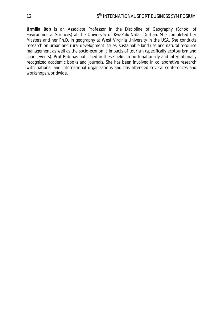**Urmilla Bob** is an Associate Professor in the Discipline of Geography (School of Environmental Sciences) at the University of KwaZulu-Natal, Durban. She completed her Masters and her Ph.D. in geography at West Virginia University in the USA. She conducts research on urban and rural development issues, sustainable land use and natural resource management as well as the socio-economic impacts of tourism (specifically ecotourism and sport events). Prof Bob has published in these fields in both nationally and internationally recognized academic books and journals. She has been involved in collaborative research with national and international organizations and has attended several conferences and workshops worldwide.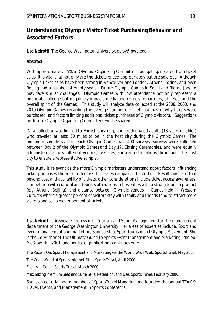# **Understanding Olympic Visitor Ticket Purchasing Behavior and Associated Factors**

## **Lisa Neirotti**, The George Washington University, *delpy@gwu.edu*

## **Abstract**

With approximately 15% of Olympic Organizing Committees budgets generated from ticket sales, it is vital that not only are the tickets priced appropriately but are sold out. Although Olympic ticket sales have been strong in Vancouver and London, Athens, Torino, and even Beijing had a number of empty seats. Future Olympic Games in Sochi and Rio de Janeiro may face similar challenges. Olympic Games with low attendance not only represent a financial challenge but negatively impacts media and corporate partners, athletes, and the overall spirit of the Games. This study will analyze data collected at the 2006, 2008, and 2010 Olympic Games regarding the average number of tickets purchased, why tickets were purchased, and factors limiting additional ticket purchases of Olympic visitors. Suggestions for future Olympic Organizing Committees will be shared.

Data collection was limited to English-speaking, non-credentialed adults (18 years or older) who traveled at least 50 miles to be in the host city during the Olympic Games. The minimum sample size for each Olympic Games was 400 surveys. Surveys were collected between Day 2 of the Olympic Games and Day 17, Closing Ceremonies, and were equally administered across different venues, live sites, and central locations throughout the host city to ensure a representative sample.

This study is relevant as the more Olympic marketers understand about factors influencing ticket purchases the more effective their sales campaign should be. Results indicate that beyond cost and availability of tickets, other considerations include ticket access awareness, competition with cultural and tourists attractions in host cities with a strong tourism product (e.g. Athens, Beijing), and distance between Olympic venues. Games held in Western Cultures where a greater percent of visitors stay with family and friends tend to attract more visitors and sell a higher percent of tickets.

**Lisa Neirotti** is Associate Professor of Tourism and Sport Management for the management department of the George Washington University. Her areas of expertise include: Sport and event management and marketing, Sponsorship, Sport tourism and Olympic Movement. She is the Co-Author of The Ultimate Guide to Sports Event Management and Marketing, 2nd ed. McGraw-Hill, 2001, and her list of publications continues with:

The Race is On: Sport Management and Marketing via the World Wide Web. SportsTravel, May 2000.

The Wide World of Sports Internet Sites, SportsTravel, April 2000.

Events in Detail, Sports Travel, March 2000.

Maximizing Premium Seat and Suite Sells, Retention, and Use, SportsTravel, February 2000.

She is an editorial board member of SportsTravel Magazine and founded the annual TEAMS: Travel, Events, and Management in Sports Conference.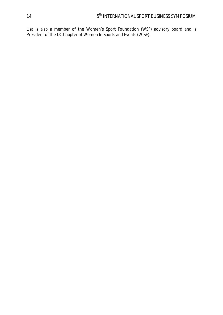Lisa is also a member of the Women's Sport Foundation (WSF) advisory board and is President of the DC Chapter of Women In Sports and Events (WISE).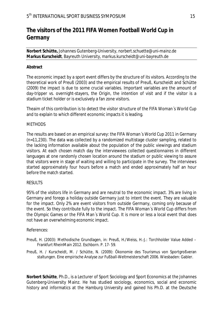# **The visitors of the 2011 FIFA Women Football World Cup in Germany**

**Norbert Schütte,** Johannes Gutenberg-University, *norbert.schuette@uni-mainz.de*  **Markus Kurscheidt**, Bayreuth University*, markus.kurscheidt@uni-bayreuth.de*

## **Abstract**

The economic impact by a sport event differs by the structure of its visitors. According to the theoretical work of Preuß (2003) and the empirical results of Preuß, Kurscheidt and Schütte (2009) the impact is due to some crucial variables. Important variables are the amount of day-tripper vs. overnight-stayers, the Origin, the intention of visit and if the visitor is a stadium ticket holder or is exclusively a fan zone visitors.

Theaim of this contribution is to detect the visitor structure of the FIFA Woman´s World Cup and to explain to which different economic impacts it is leading.

### **METHODS**

The results are based on an empirical survey: the FIFA Woman´s World Cup 2011 in Germany (n=11,230). The data was collected by a randomized multistage cluster sampling, related to the lacking information available about the population of the public viewings and stadium visitors. At each chosen match day the interviewees collected questionnaires in different languages at one randomly chosen location around the stadium or public viewing to assure that visitors were in stage of waiting and willing to participate in the survey. The interviews started approximately four hours before a match and ended approximately half an hour before the match started.

### RESULTS

95% of the visitors life in Germany and are neutral to the economic impact. 3% are living in Germany and forego a holiday outside Germany just to intent the event. They are valuable for the impact. Only 2% are event visitors from outside Germany, coming only because of the event. So they contribute fully to the impact. The FIFA Woman´s World Cup differs from the Olympic Games or the FIFA Man´s World Cup. It is more or less a local event that does not have an overwhelming economic impact.

### References:

- Preuß, H. (2003): Methodische Grundlagen, in: Preuß, H./Weiss, H.-J.: Torchholder Value Added Frankfurt RheinMain 2012. Eschborn. P. 17- 59.
- Preuß, H. / Kurscheidt, M. / Schütte, N. (2009): Ökonomie des Tourismus von Sportgroßveran staltungen. Eine empirische Analyse zur Fußball-Weltmeisterschaft 2006. Wiesbaden: Gabler.

**Norbert Schütte**, Ph.D., is a Lecturer of Sport Sociology and Sport Economics at the Johannes Gutenberg-University Mainz. He has studied sociology, economics, social and economic history and informatics at the Hamburg University and gained his Ph.D. at the Deutsche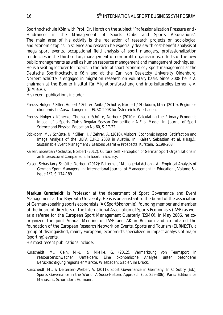Sporthochschule Köln with Prof. Dr. Horch on the subject "Professionalization Pressure and - Hindrances in the Management of Sports Clubs and Sports Associations". The main area of his activity is the realisation of research projects on sociological and economic topics. In science and research he especially deals with cost-benefit analysis of mega sport events, occupational field analysis of sport managers, professionalization tendencies in the third sector, management of non-profit organisations, effects of the new public managements as well as human resource management and management techniques. He is a visiting lecturer for topics in the field of sport economics / sport management at the Deutsche Sporthochschule Köln and at the Carl von Ossietzky University Oldenburg. Norbert Schütte is engaged in migration research on voluntary basis. Since 2008 he is 2. chairman at the Bonner Institut für Migrationsforschung und interkulturelles Lernen e.V.  $(BIM e.V.).$ 

His recent publications include:

- Preuss, Holger / Siller, Hubert / Zehrer, Anita / Schütte, Norbert / Stickdorn, Marc (2010). Regionale ökonomische Auswirkungen der EURO 2008 für Österreich. Wiesbaden.
- Preuss, Holger / Könecke, Thomas / Schütte, Norbert: (2010): Calculating the Primary Economic Impact of a Sports Club`s Regular Season Competition: A First Model. In: Journal of Sport Science and Physical Education No.60, S. 17-22
- Stickdorn, M. / Schütte, N. / Siller, H. / Zehrer, A. (2010). Visitors' Economic Impact, Satisfaction and Image Analysis of the UEFA EURO 2008 in Austria. In Kaiser, Sebastian et al. (Hrsg.).: Sustainable Event Managment / Lessons Learnt & Prospects. Kufstein. S.199-208.
- Kaiser, Sebastian / Schütte, Norbert (2012): Cultural Self Perception of German Sport Organisations in an Intersectoral Comparison. In Sport in Society.
- Kaiser, Sebastian / Schütte, Norbert (2012): Patterns of Managerial Action An Empirical Analysis of German Sport Managers. In: International Journal of Management in Education , Volume 6 - Issue 1/2, S. 174-189.

**Markus Kurscheidt**, is Professor at the department of Sport Governance and Event Management at the Bayreuth University. He is is an assistant to the board of the association of German-speaking sports economists (AK Sportökonomie), founding member and member of the board of directors of the International Association of Sports Economists (IASE) as well as a referee for the European Sport Management Quarterly (ESMQ). In May 2006, he coorganized the joint Annual Meeting of IASE and AK in Bochum and co-initiated the foundation of the European Research Network on Events, Sports and Tourism (EURNEST), a group of distinguished, mainly European, economists specialized in impact analysis of major (sporting) events.

His most recent publications include:

- Kurscheidt, M., Klein, M.-L., & Mielke, G. (2012). *Vermarktung von Teamsport in ressourcenschwachen Umfeldern: Eine ökonomische Analyse unter besonderer Berücksichtigung regionaler Märkte*. Wiesbaden: Gabler, im Druck.
- Kurscheidt, M., & Deitersen-Wieber, A. (2011). Sport Governance in Germany. In C. Sobry (Ed.), Sports Governance in the World: A Socio-Historic Approach (pp. 259-306). Paris: Editions Le Manuscrit. Schorndorf: Hofmann.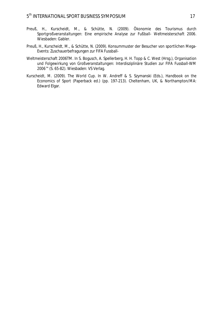- Preuß, H., Kurscheidt, M., & Schütte, N. (2009). *Ökonomie des Tourismus durch Sportgroßveranstaltungen: Eine empirische Analyse zur Fußball- Weltmeisterschaft 2006*. Wiesbaden: Gabler.
- Preuß, H., Kurscheidt, M., & Schütte, N. (2009). Konsummuster der Besucher von sportlichen Mega-Events: Zuschauerbefragungen zur FIFA Fussball-
- Weltmeisterschaft 2006TM. In S. Bogusch, A. Spellerberg, H. H. Topp & C. West (Hrsg.), *Organisation und Folgewirkung von Großveranstaltungen: Interdisziplinäre Studien zur FIFA Fussball-WM 2006™* (S. 65-82). Wiesbaden: VS Verlag.
- Kurscheidt, M. (2009). The World Cup. In W. Andreff & S. Szymanski (Eds.), *Handbook on the Economics of Sport* (Paperback ed.) (pp. 197-213). Cheltenham, UK, & Northampton/MA: Edward Elgar.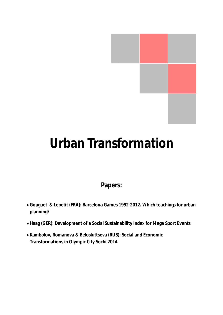# **Urban Transformation**

# **Papers:**

- x **Gouguet & Lepetit (FRA): Barcelona Games 1992-2012. Which teachings for urban planning?**
- x **Haag (GER): Development of a Social Sustainability Index for Mega Sport Events**
- x **Kambolov, Romanova & Belosluttseva (RUS): Social and Economic Transformations in Olympic City Sochi 2014**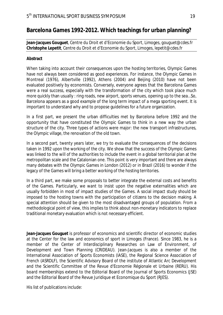# **Barcelona Games 1992-2012. Which teachings for urban planning?**

**Jean-Jacques Gouguet**, Centre du Droit et d'Economie du Sport, Limoges, *gouguet@cdes.fr*  **Christophe Lepetit**, Centre du Droit et d'Economie du Sport, Limoges, *lepetit@cdes.fr*

## **Abstract**

When taking into account their consequences upon the hosting territories, Olympic Games have not always been considered as good experiences. For instance, the Olympic Games in Montreal (1976), Albertville (1992), Athens (2004) and Beijing (2010) have not been evaluated positively by economists. Conversely, everyone agrees that the Barcelona Games were a real success, especially with the transformation of the city which took place much more quickly than usually : ring roads, new airport, sports venues, opening up to the sea…So, Barcelona appears as a good example of the long term impact of a mega sporting event. It is important to understand why and to propose guidelines for a future organization.

In a first part, we present the urban difficulties met by Barcelona before 1992 and the opportunity that have constituted the Olympic Games to think in a new way the urban structure of the city. Three types of actions were major: the new transport infrastructures, the Olympic village, the renovation of the old town.

In a second part, twenty years later, we try to evaluate the consequences of the decisions taken in 1992 upon the working of the city. We show that the success of the Olympic Games was linked to the will of the authorities to include the event in a global territorial plan at the metropolitan scale and the Catalonian one. This point is very important and there are always many debates with the Olympic Games in London (2012) or in Brazil (2016) to wonder if the legacy of the Games will bring a better working of the hosting territories.

In a third part, we make some proposals to better integrate the external costs and benefits of the Games. Particularly, we want to insist upon the negative externalities which are usually forbidden in most of impact studies of the Games. A social impact study should be imposed to the hosting towns with the participation of citizens to the decision making. A special attention should be given to the most disadvantaged groups of population. From a methodological point of view, this implies to think about non-monetary indicators to replace traditional monetary evaluation which is not necessary efficient.

**Jean-Jacques Gouguet** is professor of economics and scientific director of economic studies at the Center for the law and economics of sport in Limoges (France). Since 1983, he is a member of the Center of Interdisciplinary Researches on Law of Environment, of Development and Town Planning (CRIDEAU). Jean-Jacques is also a member of the International Association of Sports Economists (IASE), the Regional Science Association of French (ASRDLF), the Scientific Advisory Board of the institute of Atlantic Arc Development and the Scientific Committee of the Revue d'Economie Régionale et Urbaine (RERU). His board memberships extend to the Editorial Board of the Journal of Sports Economics (JSE) and the Editorial Board of the Revue Juridique et Economique du Sport (RJES).

His list of publications include: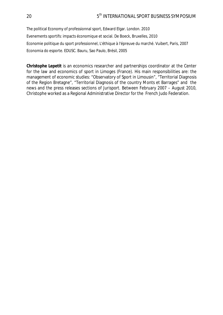The political Economy of professionnal sport, Edward Elgar. London. 2010 Evenements sportifs: impacts économique et social. De Boeck, Bruxelles, 2010 Economie politique du sport professionnel, L'éthique à l'épreuve du marché. Vuibert, Paris, 2007 Economia do esporte. EDUSC. Bauru, Sao Paulo, Brésil, 2005

**Christophe Lepetit** is an economics researcher and partnerships coordinator at the Center for the law and economics of sport in Limoges (France). His main responsibilities are: the management of economic studies: "Observatory of Sport in Limousin", "Territorial Diagnosis of the Region Bretagne", "Territorial Diagnosis of the country Monts et Barrages" and the news and the press releases sections of Jurisport. Between February 2007 – August 2010, Christophe worked as a Regional Administrative Director for the French Judo Federation.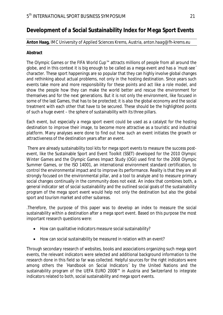# **Development of a Social Sustainability Index for Mega Sport Events**

## **Anton Haag,** IMC University of Applied Sciences Krems, Austria, *anton.haag@fh-krems.eu*

## **Abstract**

The Olympic Games or the FIFA World Cup™ attracts millions of people from all around the globe, and in this context it is big enough to be called as a mega event and has a ´must-see´ character. These sport happenings are so popular that they can highly involve global changes and rethinking about actual problems, not only in the hosting destination. Since years such events take more and more responsibility for these points and act like a role model, and show the people how they can make the world better and rescue the environment for themselves and for the next generations. But it is not only the environment, like focused in some of the last Games, that has to be protected; it is also the global economy and the social treatment with each other that have to be secured. These should be the highlighted points of such a huge event – the sphere of sustainability with its three pillars.

Each event, but especially a mega sport event could be used as a catalyst for the hosting destination to improve their image, to become more attractive as a touristic and industrial platform. Many analyses were done to find out how such an event initiates the growth or attractiveness of the destination years after an event.

 There are already sustainability tool kits for mega sport events to measure the success postevent, like the Sustainable Sport and Event Toolkit (SSET) developed for the 2010 Olympic Winter Games and the Olympic Games Impact Study (OGI) used first for the 2008 Olympic Summer Games, or the ISO 14001, an international environment standard certification, to control the environmental impact and to improve its performance. Reality is that they are all strongly focused on the environmental pillar, and a tool to analyze and to measure primary social changes continually in the community does not exist. An index that combines both, a general indicator set of social sustainability and the outlined social goals of the sustainability program of the mega sport event would help not only the destination but also the global sport and tourism market and other subareas.

.Therefore, the purpose of this paper was to develop an index to measure the social sustainability within a destination after a mega sport event. Based on this purpose the most important research questions were:

- How can qualitative indicators measure social sustainability?
- How can social sustainability be measured in relation with an event?

Through secondary research of websites, books and associations organizing such mega sport events, the relevant indicators were selected and additional background information to the research done in this field so far was collected. Helpful sources for the right indicators were among others the ´Handbook on Social Indicators´ by the United Nations and the sustainability program of the UEFA EURO 2008™ in Austria and Switzerland to integrate indicators related to both, social sustainability and mega sport events.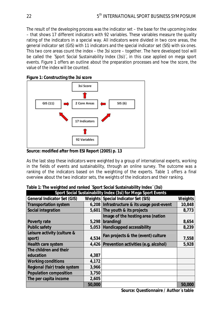The result of the developing process was the indicator set – the base for the upcoming index – that shows 17 different indicators with 92 variables. These variables measure the quality rating of the indicators in a special way. All indicators were divided in two core areas, the general indicator set (GIS) with 11 indicators and the special indicator set (SIS) with six ones. This two core areas count the index – the 3si score – together. The here developed tool will be called the ´Sport Social Sustainability Index (3si)´, in this case applied on mega sport events. Figure 1 offers an outline about the preparation processes and how the score, the value of the index will be counted.

|  | Figure 1: Constructing the 3si score |  |
|--|--------------------------------------|--|
|  |                                      |  |



**Source: modified after from ESI Report (2005) p. 13** 

As the last step these indicators were weighted by a group of international experts, working in the fields of events and sustainability, through an online survey. The outcome was a ranking of the indicators based on the weighting of the experts. Table 1 offers a final overview about the two indicator sets, the weights of the indicators and their ranking.

| Table 1: The weighted and ranked 'Sport Social Sustainability Index' (3si) |  |  |  |
|----------------------------------------------------------------------------|--|--|--|
|                                                                            |  |  |  |

| Sport Social Sustainability Index (3si) for Mega Sport Events |        |                                               |         |  |  |
|---------------------------------------------------------------|--------|-----------------------------------------------|---------|--|--|
| General Indicator Set (GIS)                                   |        | Weights Special Indicator Set (SIS)           | Weights |  |  |
| Transportation system                                         |        | 6,208   Infrastructure & its usage post-event | 10,848  |  |  |
| Social integration                                            |        | 5,601 The youth & its projects                | 8,773   |  |  |
|                                                               |        | Image of the hosting area (nation             |         |  |  |
| Poverty rate                                                  | 5,298  | branding)                                     | 8,654   |  |  |
| Public safety                                                 |        | 5,053 Handicapped accessibility               | 8,239   |  |  |
| Leisure activity (culture &                                   |        | Fan projects & the (event) culture            |         |  |  |
| sport)                                                        | 4,534  |                                               | 7,558   |  |  |
| Health care system                                            |        | 4,426 Prevention activities (e.g. alcohol)    | 5,928   |  |  |
| The children and their                                        |        |                                               |         |  |  |
| education                                                     | 4,387  |                                               |         |  |  |
| Working conditions                                            | 4,172  |                                               |         |  |  |
| Regional (fair) trade system                                  | 3,966  |                                               |         |  |  |
| Population composition                                        | 3,750  |                                               |         |  |  |
| The per capita income                                         | 2,605  |                                               |         |  |  |
|                                                               | 50,000 |                                               | 50,000  |  |  |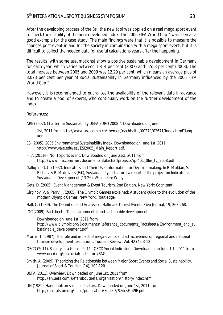After the developing process of the 3si, the new tool was applied on a real mega sport event to check the usability of the here developed index. The 2006 FIFA World Cup™ was seen as a good example for the case study. The main findings were that it is possible to measure the changes post-event in and for the society in combination with a mega sport event, but it is difficult to collect the needed data for useful calculations years after the happening.

The results (with some assumptions) show a positive sustainable development in Germany for each year, which varies between 1.814 per cent (2007) and 5.553 per cent (2008). The total increase between 2005 and 2009 was 12.29 per cent, which means an average plus of 3.073 per cent per year of social sustainability in Germany influenced by the 2006 FIFA World Cup™.

However, it is recommended to guarantee the availability of the relevant data in advance and to create a pool of experts, who continually work on the further development of the index.

References:

ARE (2007). *Charter for Sustainability UEFA EURO 2008™.* Downloaded on June

1st, 2011 from http://www.are.admin.ch/themen/nachhaltig/00270/02671/index.html?lang =en.

- ESI (2005). *2005 Environmental Sustainability Index.* Downloaded on June 1st, 2011 http://www.yale.edu/esi/ESI2005\_Main\_Report.pdf.
- FIFA (2011e). *No. 1 Sports event.* Downloaded on June 21st, 2011 from http://www.fifa.com/mm/document/fifafacts/ffprojects/ip-401\_06e\_tv\_2658.pdf
- Gallopin, G. C. (1997). Indicators and Their Use: Information for Decision-making. In B. Moldan, S. Billharz & R. Matravers (Ed.), *Sustainability Indicators: a report of the project on Indicators of Sustainable Development* (13-26). Weinheim: Wiley.
- Getz, D. (2005). *Event Management & Event Tourism*. 2nd Edition. New York: Cognizant.
- Girginov, V. & Parry, J. (2005). The Olympic Games explained: A student guide to the evolution of the modern Olympic Games. New York: Routledge.
- Hall, C. (1989). The Definition and Analysis of Hallmark Tourist Events. *Geo Journal, 19, 263*-268.
- IOC (2009). *Factsheet The environmental and sustainable development.*

Downloaded on June 1st, 2011 from http://www.olympic.org/Documents/Reference\_documents\_Factsheets/Environment\_and\_su bstainable\_developement.pdf.

- Marris, T. (1987). The role and impact of mega-events and attractiveness on regional and national tourism development resolutions. Tourism Review, Vol. 42 (4): 3-12.
- OECD (2011). *Society at a Glance 2011 OECD Social Indicators.* Downloaded on June 1st, 2011 from www.oecd.org/els/social/indicators/SAG.
- Smith, A. (2009). Theorizing the Relationship between Major Sport Events and Social Sustainability. *Journal of Sport & Tourism (14)*, 109-120.
- UEFA (2011). *Overview.* Downloaded on June 1st, 2011 from http://en.uefa.com/uefa/aboutuefa/organisation/history/index.html.
- UN (1989). Handbook on social indicators. Downloaded on June 1st, 2011 from http://unstats.un.org/unsd/publication/SeriesF/SeriesF\_49E.pdf.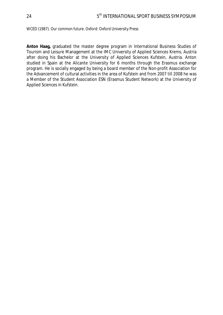WCED (1987). *Our common future.* Oxford: Oxford University Press

**Anton Haag,** graduated the master degree program in International Business Studies of Tourism and Leisure Management at the IMC University of Applied Sciences Krems, Austria after doing his Bachelor at the University of Applied Sciences Kufstein, Austria. Anton studied in Spain at the Alicante University for 6 months through the Erasmus exchange program. He is socially engaged by being a board member of the Non-profit Association for the Advancement of cultural activities in the area of Kufstein and from 2007 till 2008 he was a Member of the Student Association ESN (Erasmus Student Network) at the University of Applied Sciences in Kufstein.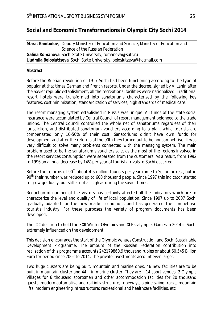# **Social and Economic Transformations in Olympic City Sochi 2014**

**Marat Kambolov**, Deputy Minister of Education and Science, Ministry of Education and Science of the Russian Federation **Galina Romanova**, Sochi State University, *romanova@sutr.ru* **Liudmila Belosluttseva**, Sochi State University, *beloslutzeva@hotmail.com*

## **Abstract**

Before the Russian revolution of 1917 Sochi had been functioning according to the type of popular at that times German and French resorts. Under the decree, signed by V. Lenin after the Soviet republic establishment, all the recreational facilities were nationalized. Traditional resort hotels were transformed into sanatoriums characterized by the following key features: cost minimization, standardization of services, high standards of medical care.

The resort managing system established in Russia was unique. All funds of the state social insurance were accumulated by Central Council of resort management belonged to the trade unions. The Central Council controlled the whole net of sanatoriums regardless of their jurisdiction, and distributed sanatorium vouchers according to a plan, while tourists are compensated only 10-50% of their cost. Sanatoriums didn't have own funds for development and after the reforms of the 90th they turned out to be noncompetitive. It was very difficult to solve many problems connected with the managing system. The main problem used to be the sanatorium's vouchers sale, as the most of the regions involved in the resort services consumption were separated from the customers. As a result, from 1992 to 1996 an annual decrease by 14% per year of tourist arrivals to Sochi occurred.

Before the reforms of 90<sup>th</sup> about 4-5 million tourists per year came to Sochi for rest, but in 90<sup>th</sup> their number was reduced up to 600 thousand people. Since 1997 this indicator started to grow gradually, but still is not as high as during the soviet times.

Reduction of number of the visitors has certainly affected all the indicators which are to characterize the level and quality of life of local population. Since 1997 up to 2007 Sochi gradually adapted for the new market conditions and has generated the competitive tourist's industry. For these purposes the variety of program documents has been developed.

The IOC decision to hold the XXII Winter Olympics and XI Paralympics Games in 2014 in Sochi extremely influenced on the development.

This decision encourages the start of the Olympic Venues Construction and Sochi Sustainable Development Programme. The amount of the Russian Federation contribution into realization of this programme accounts 242179860,9 thousand rubles or about 60,545 Billion Euro for period since 2002 to 2014. The private investments account even larger.

Two huge clusters are being built: mountain and marine ones. 46 new facilities are to be built in mountain cluster and 44 – in marine cluster. They are – 14 sport venues, 2 Olympic Villages for 6 thousand sportsmen and other accommodation facilities for 20 thousand guests; modern automotive and rail infrastructure, ropeways, alpine skiing tracks, mountain lifts; modern engineering infrastructure; recreational and healthcare facilities, etc.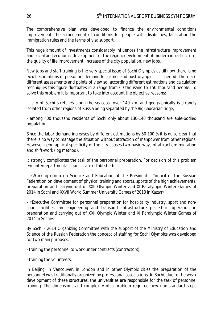The comprehensive plan was developed to finance the environmental conditions improvement, the arrangement of conditions for people with disabilities, facilitation the immigration rules and the terms of visa support.

This huge amount of investments considerably influences the infrastructure improvement and social and economic development of the region: development of modern infrastructure, the quality of life improvement, increase of the city population, new jobs.

New jobs and staff training is the very special issue of Sochi Olympics as till now there is no exact estimations of personnel demand for games and post-olympic period. There are different assessments and points of view so, according different estimations and calculation techniques this figure fluctuates in a range from 60 thousand to 150 thousand people. To solve this problem it is important to take into account the objective reasons:

- city of Sochi stretches along the seacoast over 140 km. and geographically is strongly isolated from other regions of Russia being separated by the Big Caucasian ridge;

- among 400 thousand residents of Sochi only about 130-140 thousand are able-bodied population.

Since the labor demand increases by different estimations by 50-100 % it is quite clear that there is no way to manage the situation without attraction of manpower from other regions. However geographical specificity of the city causes two basic ways of attraction: migration and shift-work (log method).

It strongly complicates the task of the personnel preparation. For decision of this problem two interdepartmental councils are established:

- «Working group on Science and Education of the President's Council of the Russian Federation on development of physical training and sports, sports of the high achievements, preparation and carrying out of XXII Olympic Winter and XI Paralympic Winter Games of 2014 in Sochi and XXVII World Summer University Games of 2013 in Kazan»;

- «Executive Committee for personnel preparation for hospitality industry, sport and nonsport facilities, an engineering and transport infrastructure placed in operation in preparation and carrying out of XXII Olympic Winter and XI Paralympic Winter Games of 2014 in Sochi».

By Sochi - 2014 Organizing Committee with the support of the Ministry of Education and Science of the Russian Federation the concept of staffing for Sochi Olympics was developed for two main purposes:

- training the personnel to work under contracts (contractors);

- training the volunteers.

In Beijing, in Vancouver, in London and in other Olympic cities the preparation of the personnel was traditionally organized by professional associations. In Sochi, due to the weak development of these structures, the universities are responsible for the task of personnel training. The dimensions and complexity of a problem required new non-standard steps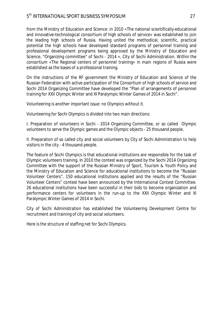from the Ministry of Education and Science: in 2010 «The national scientifically-educational and innovative-technological consortium of high schools of service» was established to join the leading high schools of Russia. Having united the methodical, scientific, practical potential the high schools have developed standard programs of personnel training and professional development programs being approved by the Ministry of Education and Science, "Organizing committee" of Sochi - 2014 », City of Sochi Administration. Within the consortium «The Regional centers of personnel training» in main regions of Russia were established as the bases of a professional training.

On the instructions of the RF government the Ministry of Education and Science of the Russian Federation with active participation of the Consortium of high schools of service and Sochi 2014 Organizing Committee have developed the "Plan of arrangements of personnel training for XXII Olympic Winter and XI Paralympic Winter Games of 2014 in Sochi".

Volunteering is another important issue: no Olympics without it.

Volunteering for Sochi Olympics is divided into two main directions:

I. Preparation of volunteers in Sochi - 2014 Organizing Committee, or so called Olympic volunteers to serve the Olympic games and the Olympic objects - 25 thousand people.

II. Preparation of so called city and social volunteers by City of Sochi Administration to help visitors in the city - 4 thousand people.

The feature of Sochi Olympics is that educational institutions are responsible for the task of Olympic volunteers training. In 2010 the contest was organized by the Sochi 2014 Organizing Committee with the support of the Russian Ministry of Sport, Tourism & Youth Policy and the Ministry of Education and Science for educational institutions to become the "Russian Volunteer Centers". 150 educational institutions applied and the results of the "Russian Volunteer Centers" contest have been announced by the International Contest Committee. 26 educational institutions have been successful in their bids to become organization and performance centers for volunteers in the run-up to the XXII Olympic Winter and XI Paralympic Winter Games of 2014 in Sochi.

City of Sochi Administration has established the Volunteering Development Centre for recruitment and training of city and social volunteers.

Here is the structure of staffing net for Sochi Olympics.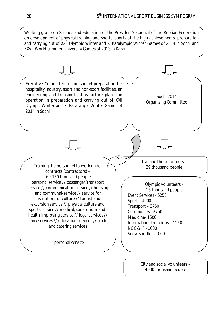Working group on Science and Education of the President's Council of the Russian Federation on development of physical training and sports, sports of the high achievements, preparation and carrying out of XXII Olympic Winter and XI Paralympic Winter Games of 2014 in Sochi and XXVII World Summer University Games of 2013 in Kazan



City and social volunteers – 4000 thousand people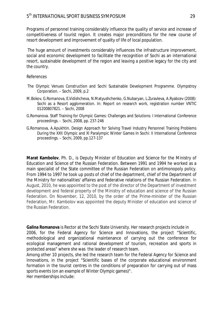Programs of personnel training considerably influence the quality of service and increase of competitiveness of tourist region. It creates major preconditions for the new course of resort development and improvement of quality of life of local population.

 The huge amount of investments considerably influences the infrastructure improvement, social and economic development to facilitate the recognition of Sochi as an international resort, sustainable development of the region and leaving a positive legacy for the city and the country.

### References

- The Olympic Venues Construction and Sochi Sustainable Development Programme. Olympstroy Corporation. – Sochi, 2009, p.2
- M.Bokov, G.Romanova, E.Vidishcheva, N.Matyushchenko, G.Nubaryan, L.Zuravleva, A.Ryabcev (2008): Sochi as a Resort agglomeration. In: Report on research work, registration number VNTIC 01200807821. – Sochi, 2008
- G.Romanova. Staff Training for Olympic Games: Challenges and Solutions: I International Conference proceedings. - Sochi, 2008, pp. 237-246
- G.Romanova, A.Apukhtin. Design Approach for Solving Travel Industry Personnel Training Problems During the XXII Olympic and XI Paralympic Winter Games In Sochi: II International Conference proceedings. – Sochi, 2009, pp.127-137

**Marat Kambolov**, Ph. D., is Deputy Minister of Education and Science for the Ministry of Education and Science of the Russian Federation. Between 1991 and 1994 he worked as a main specialist of the State committee of the Russian Federation on antimonopoly policy. From 1994 to 1997 he took up posts of chief of the department, chief of the Department of the Ministry for nationalities' affaires and federative relations of the Russian Federation. In August, 2010, he was appointed to the post of the director of the Department of investment development and federal property of the Ministry of education and science of the Russian Federation. On November, 12, 2010, by the order of the Prime-minister of the Russian Federation, Mr. Kambolov was appointed the deputy Minister of education and science of the Russian Federation.

**Galina Romanova** is Rector at the Sochi State University. Her research projects include in 2006, for the Federal Agency for Science and Innovations, the project "Scientific, methodological and organizational maintenance of carrying out the conference for ecological management and rational development of tourism, recreation and sports in protected areas" where she was the leader of research team.

Among other 10 projects, she led the research team for the Federal Agency for Science and Innovations, in the project "Scientific bases of the corporate educational environment formation in the tourist centres in the conditions of preparation for carrying out of mass sports events (on an example of Winter Olympic games)".

Her memberships include: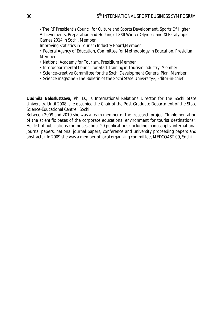• The RF President's Council for Culture and Sports Development, Sports Of Higher Achievements, Preparation and Hosting of XXII Winter Olympic and XI Paralympic Games 2014 in Sochi, Member

Improving Statistics in Tourism Industry Board,Member

• Federal Agency of Education, Committee for Methodology in Education, Presidium Member

- National Academy for Tourism, Presidium Member
- Interdepartmental Council for Staff Training in Tourism Industry, Member
- Science-creative Committee for the Sochi Development General Plan, Member
- Science magazine «The Bulletin of the Sochi State University», Editor-in-chief

**Liudmila Belosluttseva,** Ph. D., is International Relations Director for the Sochi State University. Until 2008, she occupied the Chair of the Post-Graduate Department of the State Science-Educational Centre , Sochi.

Between 2009 and 2010 she was a team member of the research project "Implementation of the scientific bases of the corporate educational environment for tourist destinations". Her list of publications comprises about 20 publications (including manuscripts, international journal papers, national journal papers, conference and university proceeding papers and abstracts). In 2009 she was a member of local organizing committee, MEDCOAST-09, Sochi.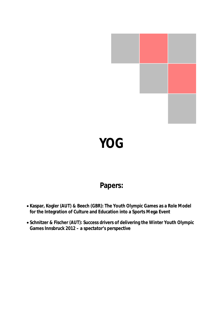

# **YOG**

# **Papers:**

- x **Kaspar, Kogler (AUT) & Beech (GBR): The Youth Olympic Games as a Role Model for the Integration of Culture and Education into a Sports Mega Event**
- x **Schnitzer & Fischer (AUT): Success drivers of delivering the Winter Youth Olympic Games Innsbruck 2012 – a spectator's perspective**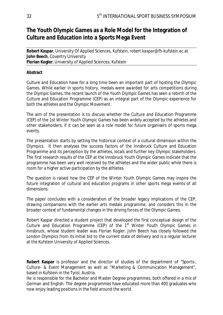## **The Youth Olympic Games as a Role Model for the Integration of Culture and Education into a Sports Mega Event**

**Robert Kaspar**, University Of Applied Sciences, Kufstein, *robert.kaspar@fh-kufstein.ac.at*  **John Beech**, Coventry University **Florian Kogler**, University of Applied Sciences, Kufstein

#### **Abstract**

Culture and Education have for a long time been an important part of hosting the Olympic Games. While earlier in sports history, medals were awarded for arts competitions during the Olympic Games, the recent launch of the Youth Olympic Games has seen a rebirth of the Culture and Education Programme (CEP) as an integral part of the Olympic experience for both the athletes and the Olympic Movement.

The aim of the presentation is to discuss whether the Culture and Education Programme (CEP) of the 1st Winter Youth Olympic Games has been widely accepted by the athletes and other stakeholders, if it can be seen as a role model for future organisers of sports mega events.

The presentation starts by setting the historical context of a cultural dimension within the Olympics. It then analyses the success factors of the Innsbruck Culture and Education Programme and its perception by the athletes, locals and further key Olympic stakeholders. The first research results of the CEP at the Innsbruck Youth Olympic Games indicate that the programme has been very well received by the athletes and the wider public while there is room for a higher active participation by the athletes.

The question is raised how the CEP of the Winter Youth Olympic Games may inspire the future integration of cultural and education programs in other sports mega events of all dimensions.

The paper concludes with a consideration of the broader legacy implications of the CEP, drawing comparisons with the earlier arts medals programme, and considers this in the broader context of fundamental changes in the driving forces of the Olympic Games.

Robert Kaspar directed a student project that developed the first conceptual design of the Culture and Education Programme (CEP) of the  $1<sup>st</sup>$  Winter Youth Olympic Games in Innsbruck, whose student leader was Florian Kogler. John Beech has closely followed the London Olympics from its initial bid to the current state of delivery and is a regular lecturer at the Kufstein University of Applied Sciences.

**Robert Kaspar** is professor and the director of studies of the department of "Sports-, Culture- & Event Management as well as "Marketing & Communication Management", based in Kufstein in the Tyrol, Austria.

He is responsible for the Bachelor and Master Degree programmes, both offered in a mix of German and English. The degree programmes have educated more than 400 graduates who now enjoy leading positions in the field around the world.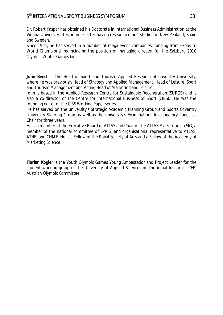Dr. Robert Kaspar has obtained his Doctorate in International Business Administration at the Vienna University of Economics after having researched and studied in New Zealand, Spain and Sweden.

Since 1994, he has served in a number of mega event companies, ranging from Expos to World Championships including the position of managing director for the Salzburg 2010 Olympic Winter Games bid.

**John Beech** is the Head of Sport and Tourism Applied Research at Coventry University, where he was previously Head of Strategy and Applied Management, Head of Leisure, Sport and Tourism Management and Acting Head of Marketing and Leisure.

John is based in the Applied Research Centre for Sustainable Regeneration (SURGE) and is also a co-director of the Centre for International Business of Sport (CIBS). He was the founding editor of the CIBS Working Paper series.

He has served on the university's Strategic Academic Planning Group and Sports Coventry University Steering Group as well as the university's Examinations Investigatory Panel, as Chair for three years.

He is a member of the Executive Board of ATLAS and Chair of the ATLAS Mass Tourism SIG, a member of the national committee of SPRIG, and organisational representative to ATLAS, ATHE, and CHME. He is a Fellow of the Royal Society of Arts and a Fellow of the Academy of Marketing Science.

**Florian Kogler** is the Youth Olympic Games Young Ambassador and Project Leader for the student working group of the University of Applied Sciences on the initial Innsbruck CEP, Austrian Olympic Committee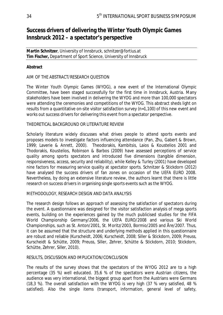## **Success drivers of delivering the Winter Youth Olympic Games Innsbruck 2012 – a spectator's perspective**

**Martin Schnitzer**, University of Innsbruck, *schnitzer@fortius.at* **Tim Fischer,** Department of Sport Science, University of Innsbruck

#### **Abstract**

#### AIM OF THE ABSTRACT/RESEARCH QUESTION

The Winter Youth Olympic Games (WYOG), a new event of the International Olympic Committee, have been staged successfully for the first time in Innsbruck, Austria. Many stakeholders have been involved in delivering the WYOG and more than 100,000 spectators were attending the ceremonies and competitions of the WYOG. This abstract sheds light on results from a quantitative on-site visitor satisfaction survey (n=1,100) of this new event and works out success drivers for delivering this event from a spectator perspective.

#### THEORETICAL BACKGROUND OR LITERATURE REVIEW

Scholarly literature widely discusses what drives people to attend sports events and proposes models to investigate factors influencing attendance (Pan, Zhu, Gabert & Brown, 1999; Laverie & Anrett, 2000). Theodorakis, Kambitsis, Laios & Koustelios 2001 and Thodorakis, Koustelios, Robinson & Barbos (2009) have assessed perceptions of service quality among sports spectators and introduced five dimensions (tangible dimension, responsiveness, access, security and reliability), while Kelley & Turley (2001) have developed nine factors for measuring service quality at spectator sports. Schnitzer & Stickdorn (2012) have analysed the success drivers of fan zones on occasion of the UEFA EURO 2008. Nevertheless, by doing an extensive literature review, the authors learnt that there is little research on success drivers in organising single sports events such as the WYOG.

#### METHODOLOGY, RESEARCH DESIGN AND DATA ANALYSIS

The research design follows an approach of assessing the satisfaction of spectators during the event. A questionnaire was designed for the visitor satisfaction analysis of mega sports events, building on the experiences gained by the much publicised studies for the FIFA World Championship Germany/2006, the UEFA EURO/2008 and various Ski World Championships, such as St. Anton/2001, St. Moritz/2003, Bormio/2005 and Åre/2007. Thus, it can be assumed that the structure and underlying methods applied in this questionnaire are robust and reliable (Kurscheidt, 2006; Kurscheidt, 2008; Siller & Stickdorn, 2009; Preuss, Kurscheidt & Schütte, 2009; Preuss, Siller, Zehrer, Schütte & Stickdorn, 2010; Stickdorn, Schütte, Zehrer, Siller, 2010).

#### RESULTS, DISCUSSION AND IMPLICATION/CONCLUSION

The results of the survey shows that the spectators of the WYOG 2012 are to a high percentage (35 %) well educated. 35,6 % of the spectators were Austrian citizens, the audience was very international, the biggest group apart from the Austrians were Germans (18,3 %). The overall satisfaction with the WYOG is very high (37 % very satisfied, 48 % satisfied). Also the single items (transport, information, general level of safety,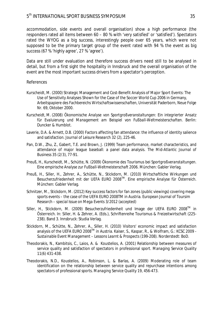accommodation, side events and overall organisation) show a high performance (the responders rated all items between 60 – 80 % with 'very satisfied' or 'satisfied'). Spectators rated the WYOG as a big success, interestingly people over 65 years, which were not supposed to be the primary target group of the event rated with 94 % the event as big success (67 % 'highly agree', 27 % 'agree').

Data are still under evaluation and therefore success drivers need still to be analysed in detail, but from a first sight the hospitality in Innsbruck and the overall organisation of the event are the most important success drivers from a spectator's perception.

#### References

- Kurscheidt, M. (2000) Strategic Management and Cost-Benefit Analysis of Major Sport Events: The Use of Sensitivity Analyses Shown for the Case of the Soccer World Cup 2006 in Germany, *Arbeitspapiere des Fachbereichs Wirtschaftswissenschaften*, Universität Paderborn, Neue Folge Nr. 69, Oktober 2000.
- Kurscheidt, M. (2008) *Ökonomische Analyse von Sportgroßveranstaltungen: Ein integrierter Ansatz für Evaluierung und Management am Beispiel von Fußball-Weltmeisterschaften*. Berlin: Duncker & Humblot.
- Laverie, D.A. & Arnett, D.B. (2000) Factors affecting fan attendance: the influence of identity salience and satisfaction. *Journal of Leisure Research* 32 (2), 225-46.
- Pan, D.W., Zhu, Z., Gabert, T.E. and Brown, J. (1999) Team performance, market characteristics, and attendance of major league baseball: a panel data analysis. *The Mid-Atlantic Journal of Business* 35 (2/3), 77-91.
- Preuß, H., Kurscheidt, M., Schütte, N. (2009) *Ökonomie des Tourismus bei Sportgroßveranstaltungen. Eine empirische Analyse zur Fußball-Weltmeisterschaft 2006*. München: Gabler Verlag.
- Preuß, H., Siller, H., Zehrer, A., Schütte, N., Stickdorn, M. (2010) *Wirtschaftliche Wirkungen und Besucherzufriedenheit mit der UEFA EURO 2008TM. Eine empirische Analyse für Österreich*. München: Gabler Verlag.
- Schnitzer, M., Stickdorn, M. (2012) Key success factors for fan zones (public viewings) covering mega sports events – the case of the UEFA EURO 2008TM in Austria. *European Journal of Toursim Research – special Issue on Mega Events* 3/2012 (accepted)
- Siller, H., Stickdorn, M. (2009) Besucherzufriedenheit und Image der UEFA EURO 2008<sup>™</sup> in Österreich. In: Siller, H. & Zehrer, A. (Eds.), *Schriftenreihe Tourismus & Freizeitwirtschaft* (225- 238). Band 3. Innsbruck: Studia Verlag.
- Stickdorn, M., Schütte, N., Zehrer, A., Siller, H. (2010) Visitors' economic impact and satisfaction analysis of the UEFA EURO 2008TM in Austria. Kaiser, S., Kaspar, R., & Wolfram, G.: *KCSC 2009 - Sustainable Event Management – Lessons Learnt & Prospects* (199-208). Norderstedt: BoD.
- Theodorakis, N., Kambitsis, C., Laios, A. & Koustelios, A. (2001) Relationship between measures of service quality and satisfaction of spectators in professional sport. *Managing Service Quality* 11(6) 431-438.
- Theodorakis, N.D., Koustelios, A., Robinson, L. & Barlas, A. (2009) Moderating role of team identification on the relationship between service quality and repurchase intentions among spectators of professional sports. *Managing Service Quality* 19, 456-473.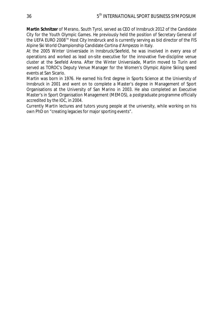**Martin Schnitzer** of Merano, South Tyrol, served as CEO of Innsbruck 2012 of the Candidate City for the Youth Olympic Games. He previously held the position of Secretary General of the UEFA EURO 2008™ Host City Innsbruck and is currently serving as bid director of the FIS Alpine Ski World Championship Candidate Cortina d'Ampezzo in Italy.

At the 2005 Winter Universiade in Innsbruck/Seefeld, he was involved in every area of operations and worked as lead on-site executive for the innovative five-discipline venue cluster at the Seefeld Arena. After the Winter Universiade, Martin moved to Turin and served as TOROC's Deputy Venue Manager for the Women's Olympic Alpine Skiing speed events at San Sicario.

Martin was born in 1976. He earned his first degree in Sports Science at the University of Innsbruck in 2001 and went on to complete a Master's degree in Management of Sport Organisations at the University of San Marino in 2003. He also completed an Executive Master's in Sport Organisation Management (MEMOS), a postgraduate programme officially accredited by the IOC, in 2004.

Currently Martin lectures and tutors young people at the university, while working on his own PhD on "creating legacies for major sporting events".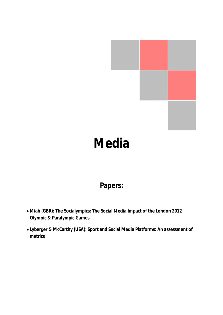

# **Media**

## **Papers:**

- x **Miah (GBR): The Socialympics: The Social Media Impact of the London 2012 Olympic & Paralympic Games**
- x **Lyberger & McCarthy (USA): Sport and Social Media Platforms: An assessment of metrics**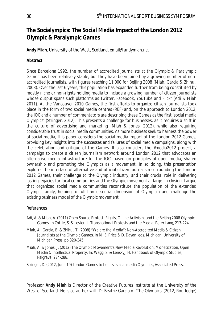## **The Socialympics: The Social Media Impact of the London 2012 Olympic & Paralympic Games**

#### **Andy Miah**, University of the West, Scotland, *email@andymiah.net*

#### **Abstract**

Since Barcelona 1992, the number of accredited journalists at the Olympic & Paralympic Games has been relatively stable, but they have been joined by a growing number of nonaccredited journalists, with figures reaching 11,000 for Beijing 2008 (Miah, Garcia & Zhihui, 2008). Over the last 6 years, this population has expanded further from being constituted by mostly niche or non-rights holding media to include a growing number of citizen journalists whose output spans such platforms as Twitter, Facebook, YouTube and Flickr (Adi & Miah 2011). At the Vancouver 2010 Games, the first efforts to organize citizen journalists took place in the form of two social media centres (REF) and, on the approach to London 2012, the IOC and a number of commentators are describing these Games as the first 'social media Olympics' (Stringer, 2012). This presents a challenge for businesses, as it requires a shift in the culture of advertising and marketing (Miah & Jones, 2012), while also requiring considerable trust in social media communities. As more business seek to harness the power of social media, this paper considers the social media impact of the London 2012 Games, providing key insights into the successes and failures of social media campaigns, along with the celebration and critique of the Games. It also considers the #media2012 project, a campaign to create a citizen journalism network around London 2012 that advocates an alternative media infrastructure for the IOC, based on principles of open media, shared ownership and promoting the Olympics as a movement. In so doing, this presentation explores the interface of alternative and official citizen journalism surrounding the London 2012 Games, their challenge to the Olympic industry, and their crucial role in delivering lasting legacies for local communities and the Olympic movement at large. In closing, I argue that organized social media communities reconstitute the population of the extended Olympic family, helping to fulfil an essential dimension of Olympism and challenge the existing business model of the Olympic movement.

#### References

- Adi, A. & Miah, A. (2011) Open Source Protest: Rights, Online Activism, and the Beijing 2008 Olympic Games, in Cottle, S. & Lester, L. Transnational Protests and the Media. Peter Lang, 213-224.
- Miah, A., Garcia, B. & Zhihui, T. (2008) "We are the Media": Non-Accredited Media & Citizen Journalists at the Olympic Games. In M. E. Price & D. Dayan, eds. Michigan: University of Michigan Press, pp.320-345.
- Miah, A. & Jones, J. (2012) The Olympic Movement's New Media Revolution: Monetization, Open Media & Intellectual Property, In: Wagg, S. & Lenskyj, H. Handbook of Olympic Studies, Palgrave, 274-288.
- Stringer, D. (2012, June 19) London Games to be first social media Olympics, Associated Press.

Professor **Andy Miah** is Director of the Creative Futures Institute at the University of the West of Scotland. He is co-author with Dr Beatriz Garcia of 'The Olympics' (2012, Routledge)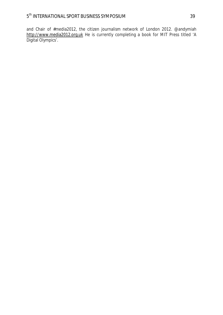and Chair of #media2012, the citizen journalism network of London 2012. @andymiah http://www.media2012.org.uk He is currently completing a book for MIT Press titled 'A Digital Olympics'.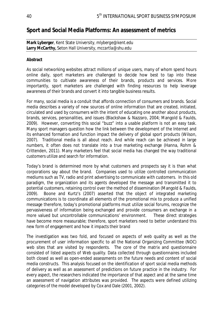## **Sport and Social Media Platforms: An assessment of metrics**

**Mark Lyberger**, Kent State University, *mlyberge@kent.edu*  **Larry McCarthy,** Seton Hall University, *mccartla@shu.edu*

#### **Abstract**

As social networking websites attract millions of unique users, many of whom spend hours online daily, sport marketers are challenged to decide how best to tap into these communities to cultivate awareness of their brands, products and services. More importantly, sport marketers are challenged with finding resources to help leverage awareness of their brands and convert it into tangible business results.

For many, social media is a conduit that affords connection of consumers and brands. Social media describes a variety of new sources of online information that are created, initiated, circulated and used by consumers with the intent of educating one another about products, brands, services, personalities, and issues (Blackshaw & Nazzaro, 2004; Mangold & Faulds, 2009). However, converting this social "buzz" into a usable platform is not an easy task. Many sport managers question how the link between the development of the Internet and its enhanced formation and function impact the delivery of global sport products (Wilson, 2007). Traditional media is all about reach. And while reach can be achieved in large numbers, it often does not translate into a true marketing exchange (Hanna, Rohm & Crittenden, 2011). Many marketers feel that social media has changed the way traditional customers utilize and search for information.

Today's brand is determined more by what customers and prospects say it is than what corporations say about the brand. Companies used to utilize controlled communication mediums such as TV, radio and print advertising to communicate with customers. In this old paradigm, the organization and its agents developed the message and transmitted it to potential customers, retaining control over the method of dissemination (Mangold & Faulds, 2009). Boone and Kurtz's (2007) asserted that the object of integrated marketing communications is to coordinate all elements of the promotional mix to produce a unified message therefore, today's promotional platforms must utilize social forums, recognize the pervasiveness of information being exchanged and provide consumers an exchange in a more valued but uncontrollable communications' environment. These direct strategies have become more measurable; therefore, sport marketers need to better understand this new form of engagement and how it impacts their brand

The investigation was two fold, and focused on aspects of web quality as well as the procurement of user information specific to all the National Organizing Committee (NOC) web sites that are visited by respondents. The core of the matrix and questionnaire consisted of listed aspects of Web quality. Data collected through questionnaires included both closed as well as open-ended assessments on the future needs and content of social media constructs. This analysis focused on the identification of sport social media methods of delivery as well as an assessment of predictions on future practice in the industry. For every aspect, the researchers indicated the importance of that aspect and at the same time an assessment of navigation attributes was provided. The aspects were defined utilizing categories of the model developed by Cox and Dale (2001, 2002).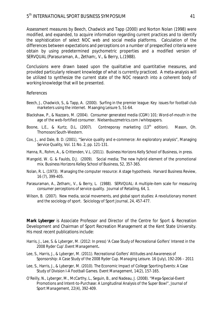Assessment measures by Beech, Chadwick and Tapp (2000) and Norton Nolan (1998) were modified, and expanded, to acquire information regarding current practices and to identify the sophistication of select NOC web and social media platforms. Calculation of the differences between expectations and perceptions on a number of prespecified criteria were obtain by using predetermined psychometric properties and a modified version of SERVQUAL (Parasuraman, A., Zetham;, V., & Berry, L.(1988).

Conclusions were drawn based upon the qualitative and quantitative measures, and provided particularly relevant knowledge of what is currently practiced. A meta-analysis will be utilized to synthesize the current state of the NOC research into a coherent body of working knowledge that will be presented.

#### References

- Beech, J., Chadwick, S., & Tapp, A. (2000). Surfing in the premier league: Key issues for football club marketers using the internet. Maanging Leisure 5, 51-64.
- Blackshaw, P., & Nazzaro, M. (2004). Consumer generated media (CGM) 101: Word-of-mouth in the age of the web-fortified consumer. Nielsenbuzzmetrics.com /whitepapers.
- Boone, L.E., & Kurtz, D.L. (2007). Contneporay marketing (13<sup>th</sup> edition). Mason, Oh. Thomoson/South-Western.
- Cox, J., and Dale, B. D. (2001), "Service quality and e-commerce: An exploratory analysis", Managing Service Quality, Vol. 11 No. 2, pp. 121-131.
- Hanna, R., Rohm, A., & Crittenden, V.L. (2011). Business Horizons Kelly School of Business, in press.
- Mangold, W. G. & Faulds, D.J. (2009). Social media; The new hybrid element of the promotional mix. Business Horizons Kelley School of Business, 52, 357-365.
- Nolan, R. L. (1973). Managing the computer resource: A stage hypothesis. Harvard Business Review, 16 (7), 399-405.
- Parasuraman, A., Zetham;, V., & Berry, L. (1988). SERVQUAL: A multiple-item scale for measuring consumer perceptions of service quality. Journal of Retailing, 64, 1.
- Wilson, B. (2007). New media, social movements, and global sport studies: A revolutionary moment and the sociology of sport. Soiciology of Sport Journal, 24, 457-477.

**Mark Lyberger** is Associate Professor and Director of the Centre for Sport & Recreation Development and Chairman of Sport Recreation Management at the Kent State University. His most recent publications include:

- Harris, J., Lee, S. & Lyberger, M. (2012: In press) 'A Case Study of Recreational Golfers' Interest in the 2008 Ryder Cup'.*Event Management***.**
- Lee, S., Harris, J., & Lyberger, M. (2011). *Recreational Golfers' Attitudes and Awareness of Sponsorship: A Case Study of the 2008 Ryder Cup. Managing Leisure*. 16 (July), 192-206 – 2011
- Lee, S., Harris, J., & Lyberger, M. (2010). The Economic Impact of College Sporting Events: A Case Study of Division I-A Football Games. *Event Management, 14*(2), 157-165.
- O'Reilly, N., Lyberger, M., McCarthy, L., Seguin, B., and Nadeau, J. (2008). "Mega-Special-Event Promotions and Intent-to-Purchase: A Longitudinal Analysis of the Super Bowl", *Journal of Sport Management, 22*(4), 392-409.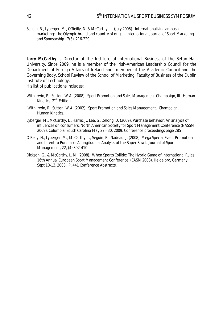Seguin, B., Lyberger, M., O'Reilly, N. & McCarthy, L. (July 2005). Internationalizing ambush marketing: the Olympic brand and country of origin. *International Journal of Sport Marketing and Sponsorship. 7*(3), 216-229. I.

**Larry McCarthy** is Director of the Institute of International Business of the Seton Hall University. Since 2009, he is a member of the Irish-American Leadership Council for the Department of Foreign Affairs of Ireland and member of the Academic Council and the Governing Body, School Review of the School of Marketing, Faculty of Business of the Dublin Institute of Technology.

His list of publications includes:

- With Irwin, R., Sutton, W.A. (2008). *Sport Promotion and Sales Management.Champaign*, Ill. Human Kinetics. 2<sup>nd</sup> Edition.
- With Irwin, R., Sutton, W.A. (2002). *Sport Promotion and Sales Management*. Champaign, Ill. Human Kinetics.
- Lyberger, M., McCarthy, L., Harris, J., Lee, S., Delong, D. (2009). Purchase behavior: An analysis of influences on consumers. North American Society for Sport Management Conference (NASSM 2009). Columbia, South Carolina May 27 - 30, 2009. Conference proceedings page 285
- O'Reily, N., Lyberger, M., McCarthy, L., Seguin, B., Nadeau, J. (2008). Mega Special Event Promotion and Intent to Purchase: A longitudinal Analysis of the Super Bowl. *Journal of Sport Management, 22*, (4) 392-410.
- Dickson, G., & McCarthy, L. M. (2008). When Sports Collide: The Hybrid Game of International Rules. 16th Annual European Sport Management Conference. (EASM 2008). Heidelbrg, Germany, Sept 10-13, 2008. P. 441 Conference Abstracts.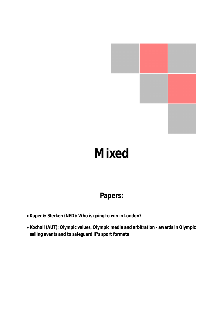

# **Mixed**

## **Papers:**

- x **Kuper & Sterken (NED): Who is going to win in London?**
- x **Kocholl (AUT):Olympic values, Olympic media and arbitration awards in Olympic sailing events and to safeguard IF's sport formats**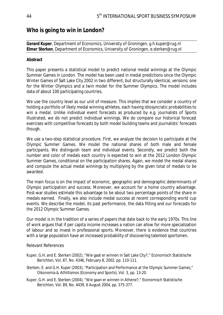### **Who is going to win in London?**

#### **Gerard Kuper**, Department of Economics, University of Groningen, *g.h.kuper@rug.nl*  **Elmer Sterken**, Department of Economics, University of Groningen, *e.sterken@rug.nl*

#### **Abstract**

This paper presents a statistical model to predict national medal winnings at the Olympic Summer Games in London. The model has been used in medal predictions since the Olympic Winter Games of Salt Lake City 2002 in two different, but structurally identical, versions: one for the Winter Olympics and a twin model for the Summer Olympics. The model includes data of about 100 participating countries.

We use the country level as our unit of measure. This implies that we consider a country of holding a portfolio of likely medal winning athletes, each having idiosyncratic probabilities to win a medal. Unlike individual event forecasts as produced by e.g. journalists of *Sports Illustrated*, we do not predict individual winnings. We do compare our historical forecast exercises with competitive forecasts by both model building teams and journalists' forecasts though.

We use a two-step statistical procedure. First, we analyze the decision to participate at the Olympic Summer Games. We model the national shares of both male and female participants. We distinguish team and individual events. Secondly, we predict both the number and color of medals each country is expected to win at the 2012 London Olympic Summer Games, conditional on the participation shares. Again, we model the medal shares and compute the actual medal winnings by multiplying by the given total of medals to be awarded.

The main focus is on the impact of economic, geographic and demographic determinants of Olympic participation and success. Moreover, we account for a home country advantage. Post-war studies estimate this advantage to be about two percentage points of the share in medals earned. Finally, we also include medal success at recent corresponding world cup events. We describe the model, its past performance, the data fitting and our forecasts for the 2012 Olympic Summer Games.

Our model is in the tradition of a series of papers that date back to the early 1970s. This line of work argues that if per capita income increases a nation can allow for more specialization of labour and so invest in professional sports. Moreover, there is evidence that countries with a large population have an increased probability of discovering talented sportsmen.

#### Relevant References

- Kuper, G.H. and E. Sterken (2002), "Wie gaat er winnen in Salt Lake City?," Economisch Statistische Berichten, Vol. 87, No. 4346, February 8, 2002, pp. 110-111.
- Sterken, E. and G.H. Kuper (2003), "Participation and Performance at the Olympic Summer Games," Oikonomia & Athlitismos (Economy and Sports), Vol. 3, pp. 13-20.
- Kuper, G.H. and E. Sterken (2004), "Wie gaan er winnen in Athene?," Economisch Statistische Berichten, Vol. 89, No. 4439, 6 August 2004, pp. 375-377.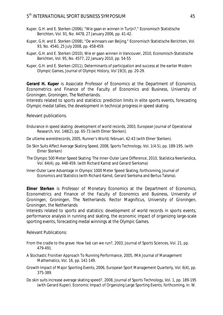#### 5 th INTERNATIONAL SPORT BUSINESS SYMPOSIUM 45

- Kuper, G.H. and E. Sterken (2006), "Wie gaan er winnen in Turijn?," Economisch Statistische Berichten, Vol. 91, No. 4478, 27 January 2006, pp. 41-42.
- Kuper, G.H. and E. Sterken (2008), "De winnaars van Beijing," Economisch Statistische Berichten, Vol. 93, No. 4540, 25 July 2008, pp. 458-459.
- Kuper, G.H. and E. Sterken (2010), Wie er gaan winnen in Vancouver, 2010, *Economisch-Statistische Berichten*, Vol. 95, No. 4577, 22 January 2010, pp. 54-55
- Kuper, G.H. and E. Sterken (2011), Determinants of participation and success at the earlier Modern Olympic Games, *Journal of Olympic History*, Vol 19(3), pp. 20-29.

**Gerard H. Kuper** is Associate Professor of Economics at the Department of Economics, Econometrics and Finance of the Faculty of Economics and Business, University of Groningen, Groningen, The Netherlands.

Interests related to sports and statistics: prediction limits in elite sports events, forecasting Olympic medal tallies, the development in technical progress in speed skating

Relevant publications.

- Endurance in speed skating: development of world records, 2003, European Journal of Operational Research, Vol. 148(2), pp. 65-73 (with Elmer Sterken).
- De ultieme wereldrecords, 2005, Runner's World, februari, 42-43 (with Elmer Sterken).
- Do Skin Suits Affect Average Skating Speed, 2008, Sports Technology, Vol. 1(4-5), pp. 189-195. (with Elmer Sterken)
- The Olympic 500 Meter Speed Skating: The Inner-Outer Lane Difference, 2010, Statistica Neerlandica, Vol. 64(4), pp. 448-459. (with Richard Kamst and Gerard Sierksma)
- Inner-Outer Lane Advantage in Olympic 1000 Meter Speed Skating, forthcoming, Journal of Economics and Statistics (with Richard Kamst, Gerard Sierksma and Bertus Talsma).

**Elmer Sterken** is Professor of Monetary Economics at the Department of Economics, Econometrics and Finance of the Faculty of Economics and Business, University of Groningen, Groningen, The Netherlands. Rector Magnificus, University of Groningen, Groningen, the Netherlands

Interests related to sports and statistics: development of world records in sports events, performance analysis in running and skating, the economic impact of organizing large-scale sporting events, forecasting medal winnings at the Olympic Games.

Relevant Publications:

- From the cradle to the grave: How fast can we run?, 2003, Journal of Sports Sciences, Vol. 21, pp. 479-491.
- A Stochastic Fronitier Approach To Running Performance, 2005, IMA Journal of Management Mathematics, Vol. 16, pp. 141-149.
- Growth Impact of Major Sporting Events, 2006, European Sport Management Quarterly, Vol. 6(4), pp. 375-389.
- Do skin suits increase average skating speed?, 2008, Journal of Sports Technology, Vol. 1, pp. 189-195 (with Gerard Kuper). Economic Impact of Organizing Large Sporting Events, forthcoming, in: W.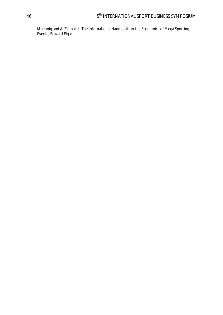Maennig and A. Zimbalist, The International Handbook on the Economics of Mega Sporting Events, Edward Elgar.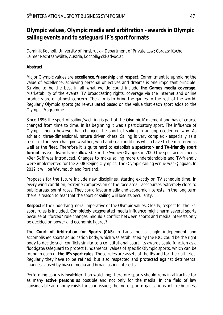## **Olympic values, Olympic media and arbitration - awards in Olympic sailing events and to safeguard IF's sport formats**

Dominik Kocholl, University of Innsbruck – Department of Private Law; Corazza Kocholl Laimer Rechtsanwälte, Austria, *kocholl@ckl-advoc.at*

#### **Abstract**

Major Olympic values are **excellence**, **friendship** and **respect**. Commitment to upholding the value of excellence, achieving personal objectives and dreams is one important principle. Striving to be the best in all what we do could include **the Games media coverage**. Marketability of the events, TV broadcasting rights, coverage via the internet and online products are of utmost concern. The aim is to bring the games to the rest of the world. Regularly Olympic sports get re-evaluated based on the value that each sport adds to the Olympic Programme.

Since 1896 the sport of sailing/yachting is part of the Olympic Movement and has of course changed from time to time. In its beginning it was a participatory sport. The influence of Olympic media however has changed the sport of sailing in an unprecedented way. As athletic, three-dimensional, nature driven chess, Sailing is very complex - especially as a result of the ever-changing weather, wind and sea conditions which have to be mastered as well as the fleet. Therefore it is quite hard to establish a **spectator- and TV-friendly sport format**, as e.g. discards are allowed. For the Sydney Olympics in 2000 the spectacular men's 49er Skiff was introduced. Changes to make sailing more understandable and TV-friendly were implemented for the 2008 Beijing Olympics. The Olympic sailing venue was Qingdao. In 2012 it will be Weymouth and Portland.

Proposals for the future include new disciplines, starting exactly on TV schedule time, in every wind condition, extreme compression of the race area, racecourses extremely close to public areas, sprint races. They could favour media and economic interests. In the long term there is reason to fear that the sport of sailing will lose its peculiarity.

**Respect** is the underlying moral imperative of the Olympic values. Clearly, respect for the IFs' sport rules is included. Completely exaggerated media influence might harm several sports because of "forced" rule changes. Should a conflict between sports and media interests only be decided on power and economic figures?

The **Court of Arbitration for Sports (CAS)** in Lausanne, a single independent and accomplished sports adjudication body, which was established by the IOC, could be the right body to decide such conflicts similar to a constitutional court. Its awards could function as a floodgate/safeguard to protect fundamental values of specific Olympic sports, which can be found in each of **the IF's sport rules**. Those rules are assets of the IFs and for their athletes. Regularly they have to be refined, but also respected and protected against detrimental changes caused by biased media and broadcasting interests!

Performing sports is **healthier** than watching; therefore sports should remain attractive for as many **active persons** as possible and not only for the media. In the field of law considerable autonomy exists for sport issues; the more sport organisations act like business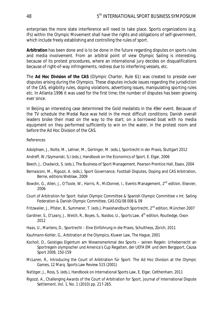enterprises the more state interference will need to take place. Sports organizations (e.g. IFs) within the Olympic Movement shall have the rights and obligations of self-government, which include freely establishing and controlling the rules of sport.

**Arbitration** has been done and is to be done in the future regarding disputes on sports rules and media involvement. From an arbitral point of view Olympic Sailing is interesting, because of its protest procedures, where an international jury decides on disqualifications because of right-of-way infringements, redress due to interfering vessels, etc.

The **Ad Hoc Division of the CAS** (Olympic Charter, Rule 61) was created to preside over disputes arising during the Olympics. These disputes include issues regarding the jurisdiction of the CAS, eligibility rules, doping violations, advertising issues, manipulating sporting rules etc. In Atlanta 1996 it was used for the first time; the number of disputes has been growing ever since.

In Beijing an interesting case determined the Gold medalists in the 49er event. Because of the TV schedule the Medal Race was held in the most difficult conditions; Danish overall leaders broke their mast on the way to the start; on a borrowed boat with no media equipment on they performed sufficiently to win on the water, in the protest room and before the Ad Hoc Division of the CAS.

References

*Adolphsen, J., Nolte, M., Lehner, M., Gerlinger, M.* (eds.), Sportrecht in der Praxis, Stuttgart 2012

*Andreff, W./Szymanski, S.*) *(eds.)*, Handbook on the Economics of Sport, E. Elgar, 2006

- *Beech, J., Chadwick, S. (eds.),* The Business of Sport Management, Pearson Prentice Hall, Essex, 2004
- *Bernasconi, M., Rigozzi, A. (eds.),* Sport Governance, Football Disputes, Doping and CAS Arbitration, Berne, editions Weblaw, 2009
- *Bowdin, G., Allen, J., O'Toole, W., Harris, R., McDonnel, I.,* Events Management, 2nd edition, Elsevier, 2006
- *Court of Arbitration for Sport:* Italian Olympic Committee & Spanish Olympic Committee v Int. Sailing Federation & Danish Olympic Committee, CAS OG/08 008 & 09

*Fritzweiler, J., Pfister, B., Summerer, T.* (eds.), Praxishandbuch Sportrecht, 2nd edition, München 2007

- *Gardiner, S., O'Leary, J., Welch, R., Boyes, S., Naidoo, U., Sports Law, 4<sup>th</sup> edition, Routledge, Oxon* 2012
- *Haas, U., Martens, D.,* Sportrecht Eine Einführung in die Praxis, Schulthess, Zürich, 2011

*Kaufmann-Kohler, G.,* Arbitration at the Olympics, Kluwer Law, The Hague, 2001

- *Kocholl, D.,* Geistiges Eigentum am Wesensmerkmal des Sports seinen Regeln: Urheberrecht an Sportregeln olympischer und America's Cup Regatten, der UEFA EM und dem Bergsport, Causa Sport 2008, 150-159
- *McLaren, R.,* Introducing the Court of Arbitration für Sport: The Ad Hoc Division at the Olympic Games, 12 Marq. Sports Law Review 515 (2001)
- *Nafziger, J., Ross, S. (eds.),* Handbook on International Sports Law, E. Elgar, Celthenham, 2011
- *Rigozzi, A.,* Challenging Awards of the Court of Arbitration for Sport, Journal of International Dispute Settlement, Vol. 1, No. 1 (2010) pp. 217-265.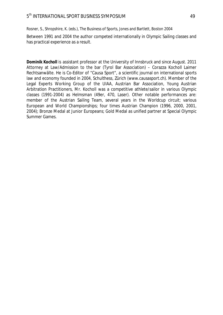*Rosner, S., Shropshire, K. (eds.),* The Business of Sports, Jones and Bartlett, Boston 2004

Between 1991 and 2004 the author competed internationally in Olympic Sailing classes and has practical experience as a result.

**Dominik Kocholl** is assistant professor at the University of Innsbruck and since August. 2011 Attorney at Law/Admission to the bar (Tyrol Bar Association) – Corazza Kocholl Laimer Rechtsanwälte. He is Co-Editor of "Causa Sport", a scientific journal on international sports law and economy founded in 2004, Schulthess, Zürich (www.causasport.ch). Member of the Legal Experts Working Group of the UIAA, Austrian Bar Association, Young Austrian Arbitration Practitioners, Mr. Kocholl was a competitive athlete/sailor in various Olympic classes (1991-2004) as Helmsman (49er, 470, Laser). Other notable performances are: member of the Austrian Sailing Team, several years in the Worldcup circuit; various European and World Championships; four times Austrian Champion (1996, 2000, 2001, 2004); Bronze Medal at Junior Europeans; Gold Medal as unified partner at Special Olympic Summer Games.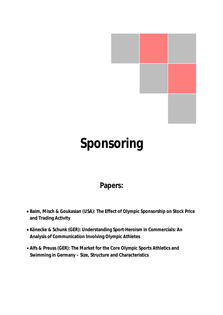

# **Sponsoring**

## **Papers:**

- x **Baim, Misch & Goukasian (USA): The Effect of Olympic Sponsorship on Stock Price and Trading Activity**
- x **Könecke & Schunk (GER): Understanding Sport-Heroism in Commercials: An Analysis of Communication Involving Olympic Athletes**
- x **Alfs & Preuss (GER): The Market for the Core Olympic Sports Athletics and Swimming in Germany – Size, Structure and Characteristics**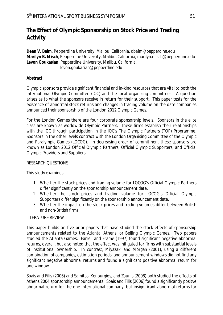## **The Effect of Olympic Sponsorship on Stock Price and Trading Activity**

**Dean V. Baim**, Pepperdine University, Malibu, California, *dbaim@pepperdine.edu* **Marilyn B. Misch**, Pepperdine University, Malibu, California, *marilyn.misch@pepperdine.edu*  **Levon Goukasian**, Pepperdine University, Malibu, California, *levon.goukasian@pepperdine.edu*

#### **Abstract**

Olympic sponsors provide significant financial and in-kind resources that are vital to both the International Olympic Committee (IOC) and the local organizing committees. A question arises as to what the sponsors receive in return for their support. This paper tests for the existence of abnormal stock returns and changes in trading volume on the date companies announced their sponsorship of the London 2012 Olympic Games.

For the London Games there are four corporate sponsorship levels. Sponsors in the elite class are known as worldwide Olympic Partners. These firms establish their relationships with the IOC through participation in the IOC's The Olympic Partners (TOP) Programme. Sponsors in the other levels contract with the London Organising Committee of the Olympic and Paralympic Games (LOCOG). In decreasing order of commitment these sponsors are known as London 2012 Official Olympic Partners; Official Olympic Supporters; and Official Olympic Providers and Suppliers.

#### RESEARCH QUESTIONS

This study examines:

- 1. Whether the stock prices and trading volume for LOCOG's Official Olympic Partners differ significantly on the sponsorship announcement date.
- 2. Whether the stock prices and trading volume for LOCOG's Official Olympic Supporters differ significantly on the sponsorship announcement date.
- 3. Whether the impact on the stock prices and trading volumes differ between British and non-British firms.

#### LITERATURE REVIEW

This paper builds on five prior papers that have studied the stock effects of sponsorship announcements related to the Atlanta, Athens, or Beijing Olympic Games. Two papers studied the Atlanta Games. Farrell and Frame (1997) found significant negative abnormal returns, overall, but also noted that the effect was mitigated for firms with substantial levels of institutional ownership. In contrast, Miyazaki and Morgan (2001), using a different combination of companies, estimation periods, and announcement windows did not find any significant negative abnormal returns and found a significant positive abnormal return for one window.

Spais and Filis (2006) and Samitas, Kenourgios, and Zounis (2008) both studied the effects of Athens 2004 sponsorship announcements. Spais and Filis (2006) found a significantly positve abnormal return for the one international company, but insignificant abnormal returns for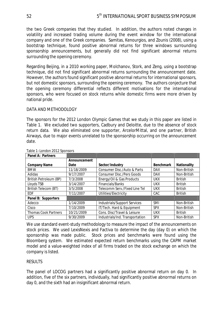the two Greek companies that they studied. In addition, the authors noted changes in volatility and increased trading volume during the event window for the international company and one of the Greek companies. Samitas, Kenourgios, and Zounis (2008), using a bootstrap technique, found positive abnormal returns for three windows surrounding sponsorship announcements, but generally did not find significant abnormal returns surrounding the opening ceremony.

Regarding Beijing, in a 2010 working paper, Molchanov, Stork, and Zeng, using a bootstrap technique, did not find significant abnormal returns surrounding the announcement date. However, the authors found significant positive abnormal returns for international sponsors, but not domestic sponsors, surrounding the opening ceremony. The authors conjecture that the opening ceremony differential reflects different motivations for the international sponsors, who were focused on stock returns while domestic firms were more driven by national pride.

#### DATA AND METHODOLOGY

The sponsors for the 2012 London Olympic Games that we study in this paper are listed in Table 1. We excluded two supporters, Cadbury and Deloitte, due to the absence of stock return data. We also eliminated one supporter, ArcelorMittal, and one partner, British Airways, due to major events unrelated to the sponsorship occurring on the announcement date.

| Panel A: Partners           |              |                                  |                  |                |
|-----------------------------|--------------|----------------------------------|------------------|----------------|
|                             | Announcement |                                  |                  |                |
| <b>Company Name</b>         | Date         | Sector/Industry                  | <b>Benchmark</b> | Nationality    |
| <b>BMW</b>                  | 11/18/2009   | Consumer Disc./Auto & Parts      | <b>DAX</b>       | Non-British    |
| Adidas                      | 9/17/2007    | <b>Consumer Disc./Pers Goods</b> | <b>DAX</b>       | Non-British    |
| British Petroleum (BP)      | 7/3/2008     | Energy/Oil & Gas Products        | <b>UKX</b>       | <b>British</b> |
| Lloyds TSB                  | 3/14/2007    | Financials/Banks                 | <b>UKX</b>       | <b>British</b> |
| <b>British Telecom (BT)</b> | 3/5/2008     | Telecomm Serv./Fixed Line Tel    | <b>UKX</b>       | <b>British</b> |
| <b>EDF</b>                  | 7/11/2007    | Utilities/Electricity            | CAC              | <b>British</b> |
| Panel B: Supporters         |              |                                  |                  |                |
| Adecco                      | 1/14/2009    | Industrials/Support Services     | <b>SMI</b>       | Non-British    |
| Cisco                       | 7/10/2009    | IT/Tech. Hard & Equipment        | <b>SPX</b>       | Non-British    |
| <b>Thomas Cook Partners</b> | 10/21/2009   | Cons. Disc/Travel & Leisure      | <b>UKX</b>       | <b>British</b> |
| <b>UPS</b>                  | 9/30/2009    | Industrials/Ind. Transportation  | <b>SPX</b>       | Non-British    |

Table 1–London 2012 Sponsors

We use standard event-study methodology to measure the impact of the announcements on stock prices. We used LexisNexis and Factiva to determine the day (day 0) on which the sponsorship was made public. Stock prices and benchmarks were found using the Bloomberg system. We estimated expected return benchmarks using the CAPM market model and a value-weighted index of all firms traded on the stock exchange on which the company is listed.

#### **RESULTS**

The panel of LOCOG partners had a significantly positive abnormal return on day 0. In addition, five of the six partners, individually, had significantly positive abnormal returns on day 0, and the sixth had an insignificant abnormal return.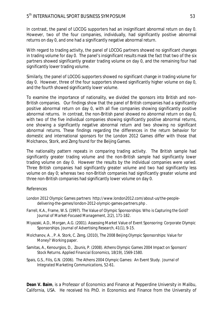In contrast, the panel of LOCOG supporters had an insignificant abnormal return on day 0. However, two of the four companies, individually, had significantly positive abnormal returns on day 0, and one had a significantly negative abnormal return.

With regard to trading activity, the panel of LOCOG partners showed no significant changes in trading volume for day 0. The panel's insignificant results mask the fact that two of the six partners showed significantly greater trading volume on day 0, and the remaining four had significantly lower trading volume.

Similarly, the panel of LOCOG supporters showed no significant change in trading volume for day 0. However, three of the four supporters showed significantly higher volume on day 0, and the fourth showed significantly lower volume.

To examine the importance of nationality, we divided the sponsors into British and non-British companies. Our findings show that the panel of British companies had a significantly positive abnormal return on day 0, with all five companies showing significantly positive abnormal returns. In contrast, the non-British panel showed no abnormal return on day 0, with two of the five individual companies showing significantly positive abnormal returns, one showing a significantly negative abnormal return and two showing no significant abnormal returns. These findings regarding the differences in the return behavior for domestic and international sponsors for the London 2012 Games differ with those that Molchanov, Stork, and Zeng found for the Beijing Games.

The nationality pattern repeats in comparing trading activity. The British sample had significantly greater trading volume and the non-British sample had significantly lower trading volume on day 0. However the results by the individual companies were varied. Three British companies had significantly greater volume and two had significantly less volume on day 0; whereas two non-British companies had significantly greater volume and three non-British companies had significantly lower volume on day 0.

#### References

- London 2012 Olympic Games partners http://www.london2012.com/about-us/the-peopledelivering-the-games/london-2012-olympic-games-partners.php .
- Farrell, K.A., Frame, W.S. (1997). The Value of Olympic Sponsorships: Who is Capturing the Gold? *Journal of Market-Focused Management,* 2(2), 171-182.
- Miyazaki, A.D., Morgan, A.G. (2001). Assessing Market Value of Event Sponsoring: Corporate Olympic Sponsorships. *Journal of Advertising Research,* 41(1), 9-15.
- Molchanov, A. , P. A. Stork, C. Zeng, (2010), The 2008 Beijing Olympic Sponsorships: Value for Money? Working paper.
- Samitas, A., Kenourgios, D., Zounis, P. (2008). Athens Olympic Games 2004 Impact on Sponsors' Stock Returns. *Applied Financial Economics,* 18(19), 1569-1580.
- Spais, G.S., Filis, G.N. (2006). The Athens 2004 Olympic Games: An Event Study. *Journal of Integrated Marketing Communications*, 52-61.

**Dean V. Baim**, is a Professor of Economics and Finance at Pepperdine University in Malibu, California, USA. He received his PhD. in Economics and Finance from the University of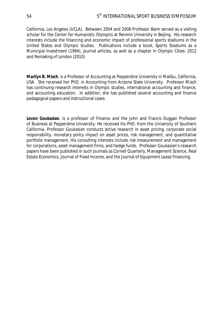California, Los Angeles (UCLA). Between 2004 and 2008 Professor Baim served as a visiting scholar for the Center for Humanistic Olympics at Renmin University in Beijing. His research interests include the financing and economic impact of professional sports stadiums in the United States and Olympic studies. Publications include a book, Sports Stadiums as a Municipal Investment (1994), journal articles, as well as a chapter in Olympic Cities: 2012 and Remaking of London (2010)

**Marilyn B. Misch**, is a Professor of Accounting at Pepperdine University in Malibu, California, USA. She received her PhD. in Accounting from Arizona State University. Professor Misch has continuing research interests in Olympic studies, international accounting and finance, and accounting education. In addition, she has published several accounting and finance pedagogical papers and instructional cases.

**Levon Goukasian**, is a professor of Finance and the John and Francis Duggan Professor of Business at Pepperdine University. He received his PhD. from the University of Southern California. Professor Goukasian conducts active research in asset pricing, corporate social responsibility, monetary policy impact on asset prices, risk management, and quantitative portfolio management. His consulting interests include risk measurement and management for corporations, asset management firms, and hedge funds. Professor Goukasian's research papers have been published in such journals as Cornell Quarterly, Management Science, Real Estate Economics, Journal of Fixed Income, and the Journal of Equipment Lease Financing.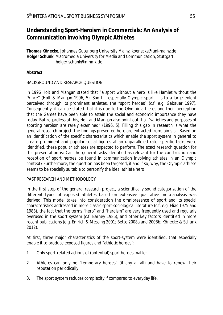## **Understanding Sport-Heroism in Commercials: An Analysis of Communication Involving Olympic Athletes**

**Thomas Könecke**, Johannes Gutenberg University Mainz, *koenecke@uni-mainz.de* **Holger Schunk**, Macromedia University for Media and Communication, Stuttgart, *holger.schunk@mhmk.de*

#### **Abstract**

#### BACKGROUND AND RESEARCH QUESTION

In 1996 Holt and Mangan stated that "a sport without a hero is like Hamlet without the Prince" (Holt & Mangan 1996, 5). Sport – especially Olympic sport – is to a large extent perceived through its prominent athletes, the "sport heroes" (c.f. e.g. Gebauer 1997). Consequently, it can be stated that it is due to the Olympic athletes and their perception that the Games have been able to attain the social and economic importance they have today. But regardless of this, Holt and Mangan also point out that "varieties and purposes of sporting heroism are rarely examined" (1996, 5). Filling this gap in research is what the general research project, the findings presented here are extracted from, aims at. Based on an identification of the specific characteristics which enable the sport system in general to create prominent and popular social figures at an unparalleled rate, specific tasks were identified, these popular athletes are expected to perform. The exact research question for this presentation is: Can the general tasks identified as relevant for the construction and reception of sport heroes be found in communication involving athletes in an Olympic context? Furthermore, the question has been targeted, if and if so, why, the Olympic athlete seems to be specially suitable to personify the ideal athlete hero.

#### PAST RESEARCH AND METHODOLOGY

In the first step of the general research project, a scientifically sound categorization of the different types of exposed athletes based on extensive qualitative meta-analysis was derived. This model takes into consideration the omnipresence of sport and its special characteristics addressed in more classic sport-sociological literature (c.f. e.g. Elias 1975 and 1983), the fact that the terms "hero" and "heroism" are very frequently used and regularly overused in the sport system (c.f. Barney 1985), and other key factors identified in more recent publications (e.g. Emrich & Messing 2001; Bette 2008a and 2008b; Könecke & Schunk 2012).

At first, three major characteristics of the sport-system were identified, that especially enable it to produce exposed figures and "athletic heroes":

- 1. Only sport-related actions of (potential) sport heroes matter.
- 2. Athletes can only be "temporary heroes" (if any at all) and have to renew their reputation periodically.
- 3. The sport system reduces complexity if compared to everyday life.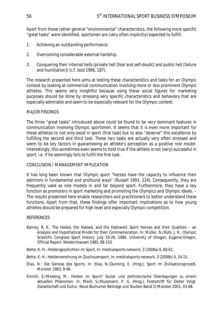Apart from these rather general "environmental" characteristics, the following more specific "great tasks" were identified, sportsmen are (very often implicitly) expected to fulfill:

- 1. Achieving an outstanding performance.
- 2. Overcoming considerable external hardship.
- 3. Conquering their internal hells (private hell [fear and self-doubt] and public hell [failure and humiliation]) (c.f. Izod 1996, 187).

The research presented here aims at testing these characteristics and tasks for an Olympic context by looking at commercial communication involving more or less prominent Olympic athletes. This seems very insightful because using these social figures for marketing purposes should be done by stressing very specific characteristics and behaviors that are especially admirable and seem to be especially relevant for the Olympic context.

#### MAJOR FINDINGS

The three "great tasks" introduced above could be found to be very dominant features in communication involving Olympic sportsmen. It seems that it is even more important for these athletes to not only excel in sport (first task) but to also "deserve" this excellence by fulfilling the second and third task. These two tasks are actually very often stressed and seem to be key factors in guaranteeing an athlete's perception as a positive role model. Interestingly, this sometimes even seems to hold true if the athlete is not (very) successful in sport, i.e. if he seemingly fails to fulfill the first task.

#### CONCLUSION / MANAGEMENT IMPLICATION

It has long been known that Olympic sport "heroes have the capacity to influence their admirers in fundamental and profound ways" (Russell 1993, 124). Consequently, they are frequently used as role models in and far beyond sport. Furthermore, they have a key function as promoters in sport marketing and promoting the Olympics and Olympic ideals. – The results presented here enable researchers and practitioners to better understand these functions. Apart from that, these findings offer important implications as to how young athletes should be prepared for high level and especially Olympic competition.

#### **REFERENCES**

- Barney, R. K.: The Hailed, the Haloed, and the Hallowed: Sport Heroes and their Qualities an Analysis and Hypothetical Model for their Commemoration. In: Müller, N./Rühl, J. K.: Olympic Scientific Congress Sport History. July 19-26, 1984. University of Oregon, Eugene/Oregon, Official Report. Niedernhausen 1985, 88-103.
- Bette, K.-H.: Heldengeschichten im Sport. In: medicalsports network, 3 (2008a) 6, 60-61.
- Bette, K.-H.: Heldenverehrung im Zuschauersport. In: medicalsports network, 3 (2008b) 4, 14-15.
- Elias, N.: Die Genese des Sports. In: Elias, N./Dunning, E. (Hrsg.): Sport im Zivilisationsprozeß. Münster 1983, 9-46.
- Emrich, E./Messing, M.: Helden im Sport? Sozial- und zeithistorische Überlegungen zu einem aktuellen Phänomen. In: Meck, S./Klussmann, P. G, (Hrsg.): Festschrift für Dieter Voigt. (Gesellschaft und Kultur. Neue Bochumer Beiträge und Studien Band 1) Münster 2001, 43-68.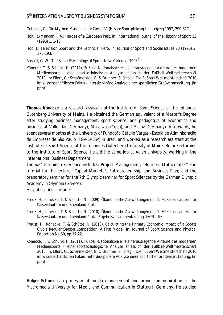Gebauer, G.: Die Mythen-Maschine. In: Caysa, V. (Hrsg.): Sportphilosophie. Leipzig 1997, 290-317.

- Holt, R./Mangan, J. A.: Heroes of a European Past. In: International Journal of the History of Sport 13 (1996) 1, 1-13.
- Izod, J.: Television Sport and the Sacrificial Hero. In: Journal of Sport and Social Issues 20 (1996) 2, 173-193.
- Russell, G. W.: The Social Psychology of Sport. New York u. a. 1993<sup>2</sup>.
- Könecke, T. & Schunk, H. (2012). Fußball-Nationalspieler als herausragende Akteure des modernen Mediensports – eine sportsoziologische Analyse anlässlich der Fußball-Weltmeisterschaft 2010. In: Ellert, G.: Schafmeister, G. & Brunner, S. (Hrsg.). Die Fußball-Weltmeisterschaft 2010 im wissenschaftlichen Fokus - intersiziplinäre Analyse einer sportlichen Großveranstaltung. (in print)

**Thomas Könecke** is a research assistant at the Institute of Sport Science at the Johannes Gutenberg-University of Mainz. He obtained the German equivalent of a Master's Degree after studying business management, sport science, and pedagogics of economics and business at Vallendar (Germany), Matanzas (Cuba), and Mainz (Germany). Afterwards, he spent several months at the University of Fundação Getulio Vargas - Escola de Administração de Empresas de São Paulo (FGV-EAESP) in Brazil and worked as a research assistant at the Institute of Sport Science at the Johannes Gutenberg-University of Mainz. Before returning to the Institute of Sport Science, he did the same job at Aalen University, working in the International Business Department.

Thomas' teaching experience includes: Project Management; "Business Mathematics" and tutorial for the lecture "Capital Markets"; Entrepreneurship and Business Plan; and the preparatory seminar for the 7th Olympic seminar for Sport Sciences by the German Olympic Academy in Olympia (Greece).

His publications include:

- Preuß, H., Könecke, T. & Schütte, N. (2009). Ökonomische Auswirkungen des 1. FC Kaiserslautern für Kaiserslautern und Rheinland-Pfalz.
- Preuß, H., Könecke, T. & Schütte, N. (2010). Ökonomische Auswirkungen des 1. FC Kaiserslautern für Kaiserslautern und Rheinland-Pfalz - Ergebniszusammenfassung der Studie.
- Preuss, H., Könecke, T. & Schütte, N. (2010). Calculating the Primary Economic Impact of a Sports Club`s Regular Season Competition: A First Model. In: Journal of Sport Science and Physical Education No.60, pp.17-22.
- Könecke, T. & Schunk, H. (2011). Fußball-Nationalspieler als herausragende Akteure des modernen Mediensports – eine sportsoziologische Analyse anlässlich der Fußball-Weltmeisterschaft 2010. In: Ellert, G.: Schafmeister, G. & Brunner, S. (Hrsg.). Die Fußball-Weltmeisterschaft 2010 im wissenschaftlichen Fokus - interdisziplinäre Analyse einer sportlichenGroßveranstaltung. (in print)

**Holger Schunk** is a professor of media management and brand communication at the Macromedia University for Media and Communication in Stuttgart, Germany. He studied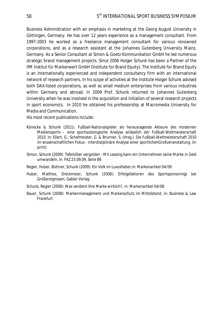Business Administration with an emphasis in marketing at the Georg August University in Göttingen, Germany. He has over 12 years experience as a management consultant. From 1997-2003 he worked as a freelance management consultant for various renowned corporations, and as a research assistant at the Johannes Gutenberg University Mainz, Germany. As a Senior Consultant at Simon & Goetz Kommunikation GmbH he led numerous strategic brand management projects. Since 2006 Holger Schunk has been a Partner of the IfM Institut für Markenwert GmbH (Institute for Brand Equity). The Institute for Brand Equity is an internationally experienced and independent consultancy firm with an international network of research partners. In his scope of activities at the Institute Holger Schunk advised both DAX-listed corporations, as well as small medium enterprises from various industries within Germany and abroad. In 2009 Prof. Schunk returned to Johannes Gutenberg University when he was involved in the acquisition and initiation of several research projects in sport economics. In 2010 he obtained his professorship at Macromedia University for Media and Communication.

His most recent publications include:

- Könecke & Schunk (2011). Fußball-Nationalspieler als herausragende Akteure des modernen Mediensports – eine sportsoziologische Analyse anlässlich der Fußball-Weltmeisterschaft 2010. In: Ellert, G.: Schafmeister, G. & Brunner, S. (Hrsg.). Die Fußball-Weltmeisterschaft 2010 im wissenschaftlichen Fokus - interdisziplinäre Analyse einer sportlichenGroßveranstaltung. (in print)
- Simon, Schunk (2009): Tafelsilber vergolden Mit Leasing kann ein Unternehmen seine Marke in Geld umwandeln, in: FAZ 23.09.09, Seite B6
- Regier, Huber, Büttner, Schunk (2009): Ein Volk im Luxusfieber,in: Markenartikel 04/09
- Huber, Matthes, Dreckmeier, Schunk (2008): Erfolgsfaktoren des Sportsponsorings bei Großereignissen, Gabler Verlag
- Schunk, Regier (2008): Was verdient Ihre Marke wirklich?, in: Markenartikel 04/08
- Bauer, Schunk (2008): Markenmanagement und Markenschutz im Mittelstand, in: Business & Law Frankfurt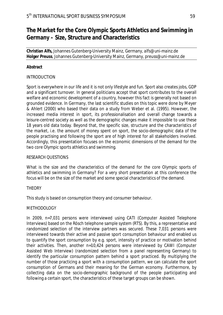## **The Market for the Core Olympic Sports Athletics and Swimming in Germany – Size, Structure and Characteristics**

**Christian Alfs,** Johannes Gutenberg-University Mainz, Germany, *alfs@uni-mainz.de*  **Holger Preuss**, Johannes Gutenberg-University Mainz, Germany, preuss@uni*-mainz.de* 

#### **Abstract**

#### INTRODUCTION

Sport is everywhere in our life and it is not only lifestyle and fun. Sport also creates jobs, GDP and a significant turnover. In general politicians accept that sport contributes to the overall welfare and economic development of a country, however this fact is generally not based on grounded evidence. In Germany, the last scientific studies on this topic were done by Meyer & Ahlert (2000) who based their data on a study from Weber et al. (1995). However, the increased media interest in sport, its professionalisation and overall change towards a leisure-centred society as well as the demographic changes make it impossible to use these 18 years old data today. Beyond that, the specific size, structure and the characteristics of the market, i.e. the amount of money spent on sport, the socio-demographic data of the people practising and following the sport are of high interest for all stakeholders involved. Accordingly, this presentation focuses on the economic dimensions of the demand for the two core Olympic sports athletics and swimming.

#### RESEARCH QUESTIONS

What is the size and the characteristics of the demand for the core Olympic sports of athletics and swimming in Germany? For a very short presentation at this conference the focus will be on the size of the market and some special characteristics of the demand.

#### **THEORY**

This study is based on consumption theory and consumer behaviour.

#### METHODOLOGY

In 2009, n=7,031 persons were interviewed using CATI (Computer Assisted Telephone Interviews) based on the Rösch telephone sample system (RTS). By this, a representative and randomized selection of the interview partners was secured. These 7,031 persons were interviewed towards their active and passive sport consumption behaviour and enabled us to quantify the sport consumption by e.g. sport, intensity of practice or motivation behind their activities. Then, another n=10,424 persons were interviewed by CAWI (Computer Assisted Web Interview) (randomized selection from a panel representing Germany) to identify the particular consumption pattern behind a sport practiced. By multiplying the number of those practicing a sport with a consumption pattern, we can calculate the sport consumption of Germans and their meaning for the German economy. Furthermore, by collecting data on the socio-demographic background of the people participating and following a certain sport, the characteristics of these target groups can be shown.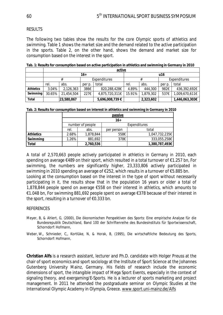#### RESULTS

The following two tables show the results for the core Olympic sports of athletics and swimming. Table 1 shows the market size and the demand related to the active participation in the sports. Table 2, on the other hand, shows the demand and market size for consumption based on the interest in the sport.

|                  | active |            |                     |                 |        |           |              |                |
|------------------|--------|------------|---------------------|-----------------|--------|-----------|--------------|----------------|
|                  | $16+$  |            |                     |                 | u16    |           |              |                |
|                  |        |            | <b>Expenditures</b> |                 | #      |           | Expenditures |                |
|                  | rel.   | abs.       | per p.              | total           | rel.   | abs.      | per p.       | total          |
| <b>Athletics</b> | 3.04%  | 2,126,363  | 386€                | 820,288,428€    | 4.89%  | 444,300   | 982€         | 436,392,692€   |
| Swimming         | 30.65% | 21,454,504 | 227€                | 4,875,720,311€  | 15.91% | 1,879,302 | 537€         | 1,009,670,611€ |
| Total            |        | 23,580,867 |                     | 5,696,008,739 € |        | 2,323,602 |              | 1,446,063,303€ |

**Tab. 1: Results for consumption based on active participation in athletics and swimming in Germany in 2010** 

|  | Tab. 2: Results for consumption based on interest in athletics and swimming in Germany in 2010 |  |  |  |
|--|------------------------------------------------------------------------------------------------|--|--|--|
|  |                                                                                                |  |  |  |

|                  | passive          |           |              |                |  |  |
|------------------|------------------|-----------|--------------|----------------|--|--|
|                  | $16+$            |           |              |                |  |  |
|                  | number of people |           | Expenditures |                |  |  |
|                  | rel.             | abs.      | per person   | total          |  |  |
| <b>Athletics</b> | 2.68%            | 1,878,844 | 558€         | 1,047,732,235€ |  |  |
| Swimming         | 1.26%            | 881,692   | 378€         | 333,055,258€   |  |  |
| Total            |                  | 2,760,536 |              | 1,380,787,493€ |  |  |

A total of 2,570,663 people actively participated in athletics in Germany in 2010, each spending on average €489 on their sport, which resulted in a total turnover of €1.257 bn, For swimming, the numbers are significantly higher, 23,333,806 actively participated in swimming in 2010 spending an average of €252, which results in a turnover of €5.885 bn. Looking at the consumption based on the interest in the type of sport without necessarily participating in it, the results show that in the population 16 years or older a total of 1,878,844 people spend on average €558 on their interest in athletics, which amounts to €1.048 bn, For swimming 881,692 people spent on average €378 because of their interest in the sport, resulting in a turnover of  $\epsilon$ 0.333 bn.

#### REFERENCES

- Meyer, B, & Ahlert, G, (2000), Die ökonomischen Perspektiven des Sports: Eine empirische Analyse für die Bundesrepublik Deutschland, Band 100 der Schriftenreihe des Bundesinstituts für Sportwissenschaft, Schorndorf: Hofmann,
- Weber, W,, Schnieder, C,, Kortlüke, N, & Horak, B, (1995), Die wirtschaftliche Bedeutung des Sports, Schorndorf: Hofmann,

**Christian Alfs** is a research assistant, lecturer and Ph.D. candidate with Holger Preuss at the chair of sport economics and sport sociology at the Institute of Sport Science at the Johannes Gutenberg University Mainz, Germany. His fields of research include the economic dimensions of sport, the intangible impact of Mega Sport Events, especially in the context of signaling theory, and exergaming/E-Sports. He is a lecturer of sports marketing and project management. In 2011 he attended the postgraduate seminar on Olympic Studies at the International Olympic Academy in Olympia, Greece. www.sport.uni-mainz.de/Alfs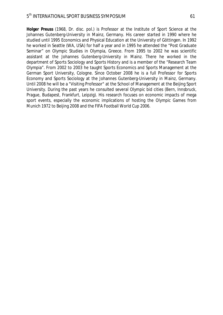**Holger Preuss** (1968, Dr. disc. pol.) is Professor at the Institute of Sport Science at the Johannes Gutenberg-University in Mainz, Germany. His career started in 1990 where he studied until 1995 Economics and Physical Education at the University of Göttingen. In 1992 he worked in Seattle (WA, USA) for half a year and in 1995 he attended the "Post Graduate Seminar" on Olympic Studies in Olympia, Greece. From 1995 to 2002 he was scientific assistant at the Johannes Gutenberg-University in Mainz. There he worked in the department of Sports Sociology and Sports History and is a member of the "Research Team Olympia". From 2002 to 2003 he taught Sports Economics and Sports Management at the German Sport University, Cologne. Since October 2008 he is a full Professor for Sports Economy and Sports Sociology at the Johannes Gutenberg-University in Mainz, Germany. Until 2008 he will be a "Visiting Professor" at the School of Management at the Beijing Sport University. During the past years he consulted several Olympic bid cities (Bern, Innsbruck, Prague, Budapest, Frankfurt, Leipzig). His research focuses on economic impacts of mega sport events, especially the economic implications of hosting the Olympic Games from Munich 1972 to Beijing 2008 and the FIFA Football World Cup 2006.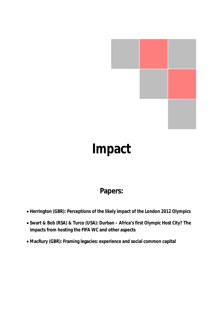

# **Impact**

## **Papers:**

- x **Herrington (GBR): Perceptions of the likely impact of the London 2012 Olympics**
- x **Swart & Bob (RSA) & Turco (USA): Durban Africa's first Olympic Host City? The impacts from hosting the FIFA WC and other aspects**
- x **MacRury (GBR): Framing legacies: experience and social common capital**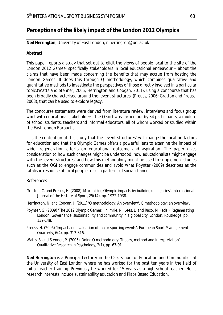## **Perceptions of the likely impact of the London 2012 Olympics**

#### **Neil Herrington**, University of East London, *n.herrington@uel.ac.uk*

#### **Abstract**

This paper reports a study that set out to elicit the views of people local to the site of the London 2012 Games- specifically stakeholders in local educational endeavour – about the claims that have been made concerning the benefits that may accrue from hosting the London Games. It does this through Q methodology, which combines qualitative and quantitative methods to investigate the perspectives of those directly involved in a particular topic.(Watts and Stenner, 2005; Herrington and Coogan, 2011), using a concourse that has been broadly characterised around the 'event structures' (Preuss, 2006; Gratton and Preuss, 2008), that can be used to explore legacy.

The concourse statements were derived from literature review, interviews and focus group work with educational stakeholders. The Q sort was carried out by 34 participants, a mixture of school students, teachers and informal educators, all of whom worked or studied within the East London Boroughs.

It is the contention of this study that the 'event structures' will change the location factors for education and that the Olympic Games offers a powerful lens to examine the impact of wider regeneration efforts on educational outcome and aspiration. The paper gives consideration to how such changes might be understood, how educationalists might engage with the 'event structures' and how this methodology might be used to supplement studies such as the OGI to engage communities and avoid what Poynter (2009) describes as the fatalistic response of local people to such patterns of social change.

#### References

- Gratton, C. and Preuss, H. (2008) 'Maximising Olympic impacts by building up legacies'. *International Journal of the History of Sport,* 25(14), pp. 1922-1938.
- Herrington, N. and Coogan, J. (2011) 'Q methodology: An overview'. *Q methodology: an overview*.
- Poynter, G. (2009) 'The 2012 Olympic Games', in Imrie, R., Lees, L. and Raco, M. (eds.) *Regenerating London: Governance, sustainability and community in a global city*. London: Routledge, pp. 132-148.
- Preuss, H. (2006) 'Impact and evaluation of major sporting events'. *European Sport Management Quarterly,* 6(4), pp. 313-316.
- Watts, S. and Stenner, P. (2005) 'Doing Q methodology: Theory, method and interpretation'. *Qualitative Research in Psychology,* 2(1), pp. 67-91.

**Neil Herrington** is a Principal Lecturer in the Cass School of Education and Communities at the University of East London where he has worked for the past ten years in the field of initial teacher training. Previously he worked for 15 years as a high school teacher. Neil's research interests include sustainability education and Place Based Education.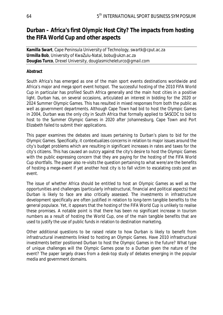## **Durban – Africa's first Olympic Host City? The impacts from hosting the FIFA World Cup and other aspects**

**Kamilla Swart**, Cape Peninsula University of Technology, *swartk@cput.ac.za* **Urmilla Bob**, University of KwaZulu-Natal, *bobu@ukzn.ac.za*  **Douglas Turco**, Drexel University, *douglasmicheleturco@gmail.com* 

#### **Abstract**

South Africa's has emerged as one of the main sport events destinations worldwide and Africa's major and mega sport event hotspot. The successful hosting of the 2010 FIFA World Cup in particular has profiled South Africa generally and the main host cities in a positive light. Durban has, on several occasions, articulated an interest in bidding for the 2020 or 2024 Summer Olympic Games. This has resulted in mixed responses from both the public as well as government departments. Although Cape Town had bid to host the Olympic Games in 2004, Durban was the only city in South Africa that formally applied to SASCOC to bid to host to the Summer Olympic Games in 2020 after Johannesburg, Cape Town and Port Elizabeth failed to submit their applications.

This paper examines the debates and issues pertaining to Durban's plans to bid for the Olympic Games. Specifically, it contextualizes concerns in relation to major issues around the city's budget problems which are resulting in significant increases in rates and taxes for the city's citizens. This has caused an outcry against the city's desire to host the Olympic Games with the public expressing concern that they are paying for the hosting of the FIFA World Cup shortfalls. The paper also re-visits the question pertaining to what were/are the benefits of hosting a mega-event if yet another host city is to fall victim to escalating costs post an event.

The issue of whether Africa should be entitled to host an Olympic Games as well as the opportunities and challenges (particularly infrastructural, financial and political aspects) that Durban is likely to face are also critically assessed. The investments in infrastructure development specifically are often justified in relation to long-term tangible benefits to the general populace. Yet, it appears that the hosting of the FIFA World Cup is unlikely to realise these promises. A notable point is that there has been no significant increase in tourism numbers as a result of hosting the World Cup, one of the main tangible benefits that are used to justify the use of public funds in relation to destination marketing.

Other additional questions to be raised relate to how Durban is likely to benefit from infrastructural investments linked to hosting an Olympic Games. Have 2010 infrastructural investments better positioned Durban to host the Olympic Games in the future? What type of unique challenges will the Olympic Games pose to a Durban given the nature of the event? The paper largely draws from a desk-top study of debates emerging in the popular media and government domains.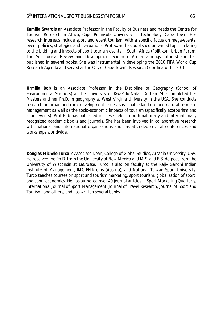**Kamilla Swart** is an Associate Professor in the Faculty of Business and heads the Centre for Tourism Research in Africa, Cape Peninsula University of Technology, Cape Town. Her research interests include sport and event tourism, with a specific focus on mega-events, event policies, strategies and evaluations. Prof Swart has published on varied topics relating to the bidding and impacts of sport tourism events in South Africa (Politikon, Urban Forum, The Sociological Review and Development Southern Africa, amongst others) and has published in several books. She was instrumental in developing the 2010 FIFA World Cup Research Agenda and served as the City of Cape Town's Research Coordinator for 2010.

**Urmilla Bob** is an Associate Professor in the Discipline of Geography (School of Environmental Sciences) at the University of KwaZulu-Natal, Durban. She completed her Masters and her Ph.D. in geography at West Virginia University in the USA. She conducts research on urban and rural development issues, sustainable land use and natural resource management as well as the socio-economic impacts of tourism (specifically ecotourism and sport events). Prof Bob has published in these fields in both nationally and internationally recognized academic books and journals. She has been involved in collaborative research with national and international organizations and has attended several conferences and workshops worldwide.

**Douglas Michele Turco** is Associate Dean, College of Global Studies, Arcadia University, USA. He received the Ph.D. from the University of New Mexico and M.S. and B.S. degrees from the University of Wisconsin at LaCrosse. Turco is also on faculty at the Rajiv Gandhi Indian Institute of Management, IMC FH-Krems (Austria), and National Taiwan Sport University. Turco teaches courses on sport and tourism marketing, sport tourism, globalization of sport, and sport economics. He has authored over 40 journal articles in Sport Marketing Quarterly, International Journal of Sport Management, Journal of Travel Research, Journal of Sport and Tourism, and others, and has written several books.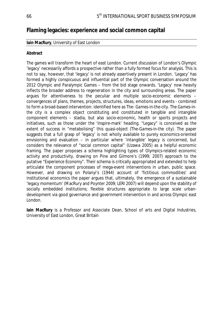### **Flaming legacies: experience and social common capital**

#### **Iain MacRury**, University of East London

#### **Abstract**

The games will *transform* the heart of east London. Current discussion of London's Olympic 'legacy' necessarily affords a prospective rather than a fully formed focus for analysis. This is not to say, however, that 'legacy' is not already assertively present in London. 'Legacy' has formed a highly conspicuous and influential part of the Olympic conversation around the 2012 Olympic and Paralympic Games – from the bid stage onwards. 'Legacy' now heavily inflects the broader address to regeneration in the city and surrounding areas. The paper argues for attentiveness to the peculiar and multiple socio-economic elements – convergences of plans, themes, projects, structures, ideas, emotions and events - combined to form a broad-based intervention: identified here as *The- Games-in-the-city*. *The Games-inthe city* is a complex object constituting and constituted in tangible and intangible component elements – stadia, but also socio-economic, health or sports projects and initiatives, such as those under the 'Inspire-mark' heading. "Legacy" is conceived as the extent of success in "metabolising" this quasi-object (*The*-*Games-in-the city).* The paper suggests that a full grasp of 'legacy' is not wholly available to purely economics-oriented envisioning and evaluation – in particular where 'intangible' legacy is concerned, but considers the relevance of "social common capital" (Uzawa 2005) as a helpful economic framing. The paper proposes a schema highlighting types of Olympics-related economic activity and productivity, drawing on Pine and Gilmore's (1999; 2007) approach to the putative "*Experience Economy".* Their schema is critically appropriated and extended to help articulate the component processes of mega-event interventions in urban, public space. However, and drawing on Polanyi's (1944) account of 'fictitious commodities' and institutional economics the paper argues that, ultimately, the emergence of a sustainable 'legacy momentum' (MacRury and Poynter 2009; LERI 2007) will depend upon the stability of socially embedded institutions; flexible structures appropriate to large scale urbandevelopment via good governance and government intervention in and across Olympic east London.

**Iain MacRury** is a Professor and Associate Dean, School of arts and Digital Industries, University of East London, Great Britain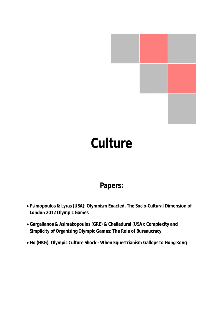

# **Culture**

## **Papers:**

- x **Psimopoulos & Lyras (USA): Olympism Enacted. The Socio-Cultural Dimension of London 2012 Olympic Games**
- x **Gargalianos & Asimakopoulos (GRE) & Chelladurai (USA): Complexity and Simplicity of Organizing Olympic Games: The Role of Bureaucracy**
- x **Ho (HKG): Olympic Culture Shock When Equestrianism Gallops to Hong Kong**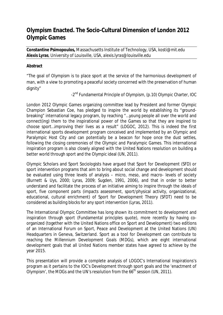## **Olympism Enacted. The Socio-Cultural Dimension of London 2012 Olympic Games**

**Constantine Psimopoulos,** Massachusetts Institute of Technology, USA, *kosti@mit.edu* **Alexis Lyras**, University of Louisville, USA, *alexis*.*lyras@louisville.edu*

### **Abstract**

"The goal of Olympism is to place sport at the service of the harmonious development of man, with a view to promoting a peaceful society concerned with the preservation of human dignity"

-2<sup>nd</sup> Fundamental Principle of Olympism, (p.10) Olympic Charter, IOC

London 2012 Olympic Games organizing committee lead by President and former Olympic Champion Sebastian Coe, has pledged to inspire the world by establishing its "groundbreaking" international legacy program, by reaching "…young people all over the world and connect(ing) them to the inspirational power of the Games so that they are inspired to choose sport…improving their lives as a result" (LOGOC, 2012). This is indeed the first international sports development program conceived and implemented by an Olympic and Paralympic Host City and can potentially be a beacon for hope once the dust settles, following the closing ceremonies of the Olympic and Paralympic Games. This international inspiration program is also closely aligned with the United Nations resolution on building a better world through sport and the Olympic ideal (UN, 2011).

Olympic Scholars and Sport Sociologists have argued that Sport for Development (SFD) or sport intervention programs that aim to bring about social change and development should be evaluated using three levels of analysis – micro, meso, and macro- levels of society (Burnett & Uys, 2000; Lyras, 2009; Sugden, 1991, 2006), and that in order to better understand and facilitate the process of an initiative aiming to inspire through the ideals of sport, five component parts (impacts assessment, sport/physical activity, organizational, educational, cultural enrichment) of Sport for Development Theory (SFDT) need to be considered as building blocks for any sport intervention (Lyras, 2011).

The International Olympic Committee has long shown its commitment to development and inspiration through sport (Fundamental principles quote), more recently by having coorganized (together with the United Nations office on Sport and Development) two editions of an International Forum on Sport, Peace and Development at the United Nations (UN) Headquarters in Geneva, Switzerland. Sport as a tool for Development can contribute to reaching the Millennium Development Goals (MDGs), which are eight international development goals that all United Nations member states have agreed to achieve by the year 2015.

This presentation will provide a complete analysis of LOGOC's International Inspirations's program as it pertains to the IOC's Development through sport goals and the 'enactment of Olympism', the MDGs and the UN's resolution from the  $66<sup>th</sup>$  session (UN, 2011).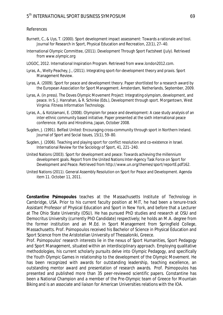#### References

- Burnett, C., & Uys, T. (2000). Sport development impact assessment: Towards a rationale and tool. Journal for Research in Sport, Physical Education and Recreation, 22(1), 27–40.
- International Olympic Committee, (2011). Development Through Sport Factsheet (July). Retrieved from www.olympic.org
- LOGOC, 2012. International Inspiration Program. Retrieved from www.london2012.com.
- Lyras, A., Welty Peachey, J., (2011). Integrating sport-for-development theory and praxis. Sport Management Review.
- Lyras, A. (2009). Sport for peace and development theory. Paper shortlisted for a research award by the European Association for Sport Management. Amsterdam, Netherlands, September, 2009.
- Lyras, A. (in press). The Doves Olympic Movement Project: Integrating olympism, development, and peace. In S. J. Hanrahan, & R. Schinke (Eds.), Development through sport. Morgantown, West Virginia: Fitness Information Technology.
- Lyras, A., & Kotziamani, E. (2008). Olympism for peace and development: A case study analysis of an inter-ethnic community based initiative. Paper presented at the sixth international peace conference. Kyoto and Hiroshima, Japan, October 2008.
- Sugden, J. (1991). Belfast United: Encouraging cross-community through sport in Northern Ireland. Journal of Sport and Social Issues, 15(1), 59–80.
- Sugden, J. (2006). Teaching and playing sport for conflict resolution and co-existence in Israel. International Review for the Sociology of Sport, 41, 221–240.
- United Nations (2003). Sport for development and peace: Towards achieving the millennium development goals. Report from the United Nations Inter-Agency Task Force on Sport for Development and Peace. Retrieved from http://www.un.org/themes/sport/reportE.pdf162.
- United Nations (2011). General Assembly Resolution on Sport for Peace and Development. Agenda item 11. October 11, 2011.

**Constantine Psimopoulos** teaches at the Massachusetts Institute of Technology in Cambridge, USA. Prior to his current faculty position at MIT, he had been a tenure-track Assistant Professor of Physical Education and Sport in New York, and before that a Lecturer at The Ohio State University (OSU). He has pursued PhD studies and research at OSU and Democritus University (currently PhD Candidate) respectively; he holds an M.A. degree from the former institution and an M.Ed. in Sport Management from Springfield College, Massachusetts. Prof. Psimopoulos received his Bachelor of Science in Physical Education and Sport Science from the Aristotelian University of Thessaloniki, Greece.

Prof. Psimopoulos' research interests lie in the nexus of Sport Humanities, Sport Pedagogy and Sport Management, situated within an interdisciplinary approach. Employing qualitative methodologies, his current scholarly pursuits delve into Olympic Pedagogy, and specifically the Youth Olympic Games in relationship to the development of the Olympic Movement. He has been recognized with awards for outstanding leadership, teaching excellence, an outstanding mentor award and presentation of research awards. Prof. Psimopoulos has presented and published more than 35 peer-reviewed scientific papers. Constantine has been a National Champion and a member of the Pre-Olympic team of Greece for Mountain Biking and is an associate and liaison for American Universities relations with the IOA.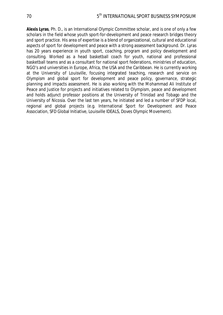**Alexis Lyras**, Ph. D., is an International Olympic Committee scholar, and is one of only a few scholars in the field whose youth sport-for-development and peace research bridges theory and sport practice. His area of expertise is a blend of organizational, cultural and educational aspects of sport for development and peace with a strong assessment background. Dr. Lyras has 20 years experience in youth sport, coaching, program and policy development and consulting. Worked as a head basketball coach for youth, national and professional basketball teams and as a consultant for national sport federations, ministries of education, NGO's and universities in Europe, Africa, the USA and the Caribbean. He is currently working at the University of Louisville, focusing integrated teaching, research and service on Olympism and global sport for development and peace policy, governance, strategic planning and impacts assessment. He is also working with the Mohammad Ali Institute of Peace and Justice for projects and initiatives related to Olympism, peace and development and holds adjunct professor positions at the University of Trinidad and Tobago and the University of Nicosia. Over the last ten years, he initiated and led a number of SFDP local, regional and global projects (e.g. International Sport for Development and Peace Association, SFD Global Initiative, Louisville IDEALS, Doves Olympic Movement).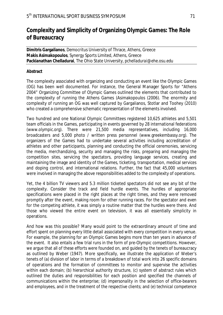# **Complexity and Simplicity of Organizing Olympic Games: The Role of Bureaucracy**

**Dimitris Gargalianos**, Democritus University of Thrace, Athens, Greece **Makis Asimakopoulos**, Synergy Sports Limited, Athens, Greece **Packianathan Chelladurai**, The Ohio State University, *pchelladurai@ehe.osu.edu* 

## **Abstract**

The complexity associated with organizing and conducting an event like the Olympic Games (OG) has been well documented. For instance, the General Manager Sports for "Athens 2004" Organizing Committee of Olympic Games outlined the elements that contributed to the complexity of running the Athens Games (Asimakopoulos (2006). The enormity and complexity of running an OG was well captured by Gargalianos, Stotlar and Toohey (2010) who created a comprehensive schematic representation of the elements involved.

Two hundred and one National Olympic Committees registered 10,625 athletes and 5,501 team officials in the Games, participating in events governed by 28 international federations (www.olympic.org). There were 21,500 media representatives, including 16,000 broadcasters and 5,000 photo / written press personnel (www.greekembassy.org). The organizers of the Games had to undertake several activities including accreditation of athletes and other participants, planning and conducting the official ceremonies, servicing the media, merchandizing, security and managing the risks, preparing and managing the competition sites, servicing the spectators, providing language services, creating and maintaining the image and identity of the Games, ticketing, transportation, medical services and doping control, and international relations. Further, the fact that 45,000 volunteers were involved in managing the above responsibilities added to the complexity of operations.

Yet, the 4 billion TV viewers and 5.3 million ticketed spectators did not see any bit of the complexity. Consider the track and field hurdle events. The hurdles of appropriate specifications were placed in the right places at the right times, and they were removed promptly after the event, making room for other running races. For the spectator and even for the competing athlete, it was simply a routine matter that the hurdles were there. And those who viewed the entire event on television, it was all essentially simplicity in operations.

And how was this possible? Many would point to the extraordinary amount of time and effort spent on planning every little detail associated with every competition in every venue. For example, the planning for an Olympic Games begins more than ten years in advance of the event. It also entails a few trial runs in the form of pre-Olympic competitions. However, we argue that all of these efforts were founded on, and guided by the tenets of bureaucracy as outlined by Weber (1947). More specifically, we illustrate the application of Weber's tenets of (a) *division of labor* in terms of a breakdown of total work into 26 specific domains of operations and the formation of committees to monitor and supervise the activities within each domain; (b) *hierarchical authority structure,* (c) *system of abstract rules* which outlined the duties and responsibilities for each position and specified the channels of communications within the enterprise; (d) *impersonality* in the selection of office-bearers and employees, and in the treatment of the respective clients; and (e) *technical competence*